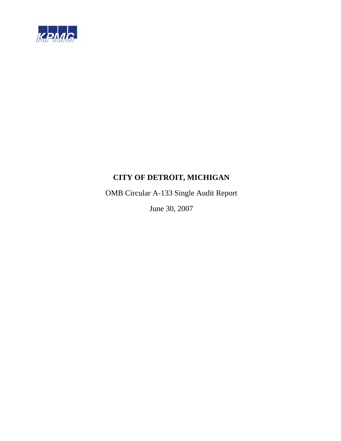

OMB Circular A-133 Single Audit Report

June 30, 2007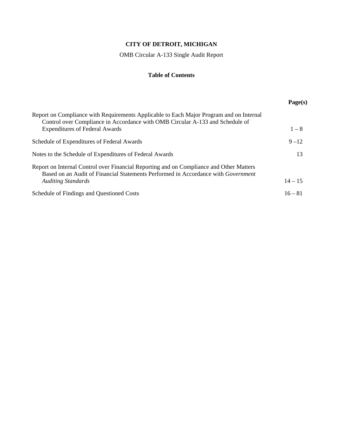OMB Circular A-133 Single Audit Report

# **Table of Contents**

|                                                                                                                                                                                                                   | Page(s)   |
|-------------------------------------------------------------------------------------------------------------------------------------------------------------------------------------------------------------------|-----------|
| Report on Compliance with Requirements Applicable to Each Major Program and on Internal<br>Control over Compliance in Accordance with OMB Circular A-133 and Schedule of<br><b>Expenditures of Federal Awards</b> | $1 - 8$   |
| Schedule of Expenditures of Federal Awards                                                                                                                                                                        | $9 - 12$  |
| Notes to the Schedule of Expenditures of Federal Awards                                                                                                                                                           | 13        |
| Report on Internal Control over Financial Reporting and on Compliance and Other Matters<br>Based on an Audit of Financial Statements Performed in Accordance with Government<br><b>Auditing Standards</b>         | $14 - 15$ |
| Schedule of Findings and Questioned Costs                                                                                                                                                                         | $16 - 81$ |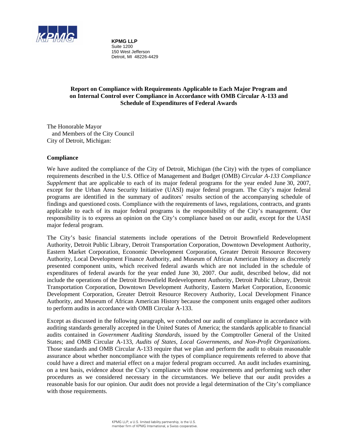

**KPMG LLP** Suite 1200 150 West Jefferson Detroit, MI 48226-4429

# **Report on Compliance with Requirements Applicable to Each Major Program and on Internal Control over Compliance in Accordance with OMB Circular A-133 and Schedule of Expenditures of Federal Awards**

The Honorable Mayor and Members of the City Council City of Detroit, Michigan:

# **Compliance**

We have audited the compliance of the City of Detroit, Michigan (the City) with the types of compliance requirements described in the U.S. Office of Management and Budget (OMB) *Circular A-133 Compliance Supplement* that are applicable to each of its major federal programs for the year ended June 30, 2007, except for the Urban Area Security Initiative (UASI) major federal program. The City's major federal programs are identified in the summary of auditors' results section of the accompanying schedule of findings and questioned costs. Compliance with the requirements of laws, regulations, contracts, and grants applicable to each of its major federal programs is the responsibility of the City's management. Our responsibility is to express an opinion on the City's compliance based on our audit, except for the UASI major federal program.

The City's basic financial statements include operations of the Detroit Brownfield Redevelopment Authority, Detroit Public Library, Detroit Transportation Corporation, Downtown Development Authority, Eastern Market Corporation, Economic Development Corporation, Greater Detroit Resource Recovery Authority, Local Development Finance Authority, and Museum of African American History as discretely presented component units, which received federal awards which are not included in the schedule of expenditures of federal awards for the year ended June 30, 2007. Our audit, described below, did not include the operations of the Detroit Brownfield Redevelopment Authority, Detroit Public Library, Detroit Transportation Corporation, Downtown Development Authority, Eastern Market Corporation, Economic Development Corporation, Greater Detroit Resource Recovery Authority, Local Development Finance Authority, and Museum of African American History because the component units engaged other auditors to perform audits in accordance with OMB Circular A-133.

Except as discussed in the following paragraph, we conducted our audit of compliance in accordance with auditing standards generally accepted in the United States of America; the standards applicable to financial audits contained in *Government Auditing Standards*, issued by the Comptroller General of the United States; and OMB Circular A-133, *Audits of States, Local Governments, and Non-Profit Organizations*. Those standards and OMB Circular A-133 require that we plan and perform the audit to obtain reasonable assurance about whether noncompliance with the types of compliance requirements referred to above that could have a direct and material effect on a major federal program occurred. An audit includes examining, on a test basis, evidence about the City's compliance with those requirements and performing such other procedures as we considered necessary in the circumstances. We believe that our audit provides a reasonable basis for our opinion. Our audit does not provide a legal determination of the City's compliance with those requirements.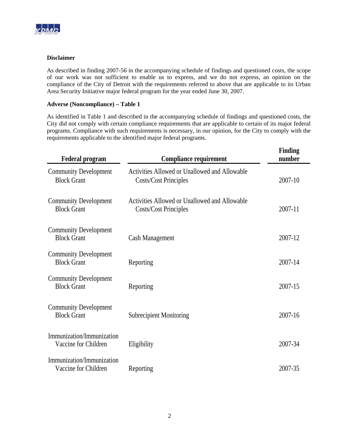

# **Disclaimer**

As described in finding 2007-56 in the accompanying schedule of findings and questioned costs, the scope of our work was not sufficient to enable us to express, and we do not express, an opinion on the compliance of the City of Detroit with the requirements referred to above that are applicable to its Urban Area Security Initiative major federal program for the year ended June 30, 2007.

# **Adverse (Noncompliance) – Table 1**

As identified in Table 1 and described in the accompanying schedule of findings and questioned costs, the City did not comply with certain compliance requirements that are applicable to certain of its major federal programs. Compliance with such requirements is necessary, in our opinion, for the City to comply with the requirements applicable to the identified major federal programs.

| <b>Federal program</b>                             | <b>Compliance requirement</b>                                                 | Finding<br>number |
|----------------------------------------------------|-------------------------------------------------------------------------------|-------------------|
| <b>Community Development</b><br><b>Block Grant</b> | Activities Allowed or Unallowed and Allowable<br><b>Costs/Cost Principles</b> | 2007-10           |
| <b>Community Development</b><br><b>Block Grant</b> | Activities Allowed or Unallowed and Allowable<br><b>Costs/Cost Principles</b> | 2007-11           |
| <b>Community Development</b><br><b>Block Grant</b> | <b>Cash Management</b>                                                        | 2007-12           |
| <b>Community Development</b><br><b>Block Grant</b> | Reporting                                                                     | 2007-14           |
| <b>Community Development</b><br><b>Block Grant</b> | Reporting                                                                     | 2007-15           |
| <b>Community Development</b><br><b>Block Grant</b> | <b>Subrecipient Monitoring</b>                                                | 2007-16           |
| Immunization/Immunization<br>Vaccine for Children  | Eligibility                                                                   | 2007-34           |
| Immunization/Immunization<br>Vaccine for Children  | Reporting                                                                     | 2007-35           |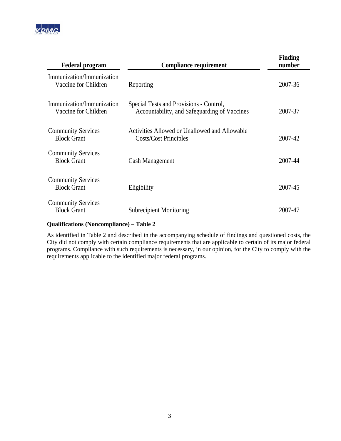

| <b>Federal program</b>                            | <b>Compliance requirement</b>                                                           | Finding<br>number |
|---------------------------------------------------|-----------------------------------------------------------------------------------------|-------------------|
| Immunization/Immunization<br>Vaccine for Children | Reporting                                                                               | 2007-36           |
| Immunization/Immunization<br>Vaccine for Children | Special Tests and Provisions - Control,<br>Accountability, and Safeguarding of Vaccines | 2007-37           |
| <b>Community Services</b><br><b>Block Grant</b>   | Activities Allowed or Unallowed and Allowable<br>Costs/Cost Principles                  | 2007-42           |
| <b>Community Services</b><br><b>Block Grant</b>   | Cash Management                                                                         | 2007-44           |
| <b>Community Services</b><br><b>Block Grant</b>   | Eligibility                                                                             | 2007-45           |
| <b>Community Services</b><br><b>Block Grant</b>   | <b>Subrecipient Monitoring</b>                                                          | 2007-47           |

# **Qualifications (Noncompliance) – Table 2**

As identified in Table 2 and described in the accompanying schedule of findings and questioned costs, the City did not comply with certain compliance requirements that are applicable to certain of its major federal programs. Compliance with such requirements is necessary, in our opinion, for the City to comply with the requirements applicable to the identified major federal programs.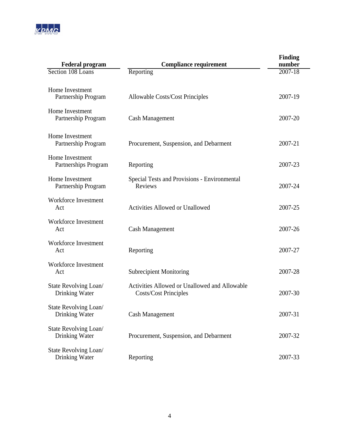

| <b>Federal program</b>                  | <b>Compliance requirement</b>                                                 | <b>Finding</b><br>number |
|-----------------------------------------|-------------------------------------------------------------------------------|--------------------------|
| Section 108 Loans                       | Reporting                                                                     | 2007-18                  |
| Home Investment<br>Partnership Program  | <b>Allowable Costs/Cost Principles</b>                                        | 2007-19                  |
| Home Investment<br>Partnership Program  | <b>Cash Management</b>                                                        | 2007-20                  |
| Home Investment<br>Partnership Program  | Procurement, Suspension, and Debarment                                        | 2007-21                  |
| Home Investment<br>Partnerships Program | Reporting                                                                     | 2007-23                  |
| Home Investment<br>Partnership Program  | Special Tests and Provisions - Environmental<br>Reviews                       | 2007-24                  |
| <b>Workforce Investment</b><br>Act      | <b>Activities Allowed or Unallowed</b>                                        | 2007-25                  |
| Workforce Investment<br>Act             | <b>Cash Management</b>                                                        | 2007-26                  |
| Workforce Investment<br>Act             | Reporting                                                                     | 2007-27                  |
| Workforce Investment<br>Act             | <b>Subrecipient Monitoring</b>                                                | 2007-28                  |
| State Revolving Loan/<br>Drinking Water | Activities Allowed or Unallowed and Allowable<br><b>Costs/Cost Principles</b> | 2007-30                  |
| State Revolving Loan/<br>Drinking Water | <b>Cash Management</b>                                                        | 2007-31                  |
| State Revolving Loan/<br>Drinking Water | Procurement, Suspension, and Debarment                                        | 2007-32                  |
| State Revolving Loan/<br>Drinking Water | Reporting                                                                     | 2007-33                  |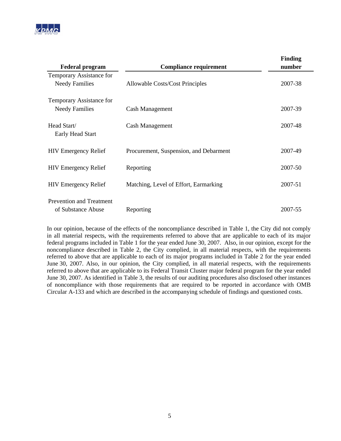

| <b>Federal program</b>                                | <b>Compliance requirement</b>          | <b>Finding</b><br>number |
|-------------------------------------------------------|----------------------------------------|--------------------------|
| Temporary Assistance for<br><b>Needy Families</b>     | <b>Allowable Costs/Cost Principles</b> | 2007-38                  |
| Temporary Assistance for                              |                                        |                          |
| <b>Needy Families</b>                                 | Cash Management                        | 2007-39                  |
| Head Start/<br>Early Head Start                       | Cash Management                        | 2007-48                  |
| <b>HIV Emergency Relief</b>                           | Procurement, Suspension, and Debarment | 2007-49                  |
| <b>HIV Emergency Relief</b>                           | Reporting                              | 2007-50                  |
| <b>HIV Emergency Relief</b>                           | Matching, Level of Effort, Earmarking  | 2007-51                  |
| <b>Prevention and Treatment</b><br>of Substance Abuse | Reporting                              | 2007-55                  |

In our opinion, because of the effects of the noncompliance described in Table 1, the City did not comply in all material respects, with the requirements referred to above that are applicable to each of its major federal programs included in Table 1 for the year ended June 30, 2007. Also, in our opinion, except for the noncompliance described in Table 2, the City complied, in all material respects, with the requirements referred to above that are applicable to each of its major programs included in Table 2 for the year ended June 30, 2007. Also, in our opinion, the City complied, in all material respects, with the requirements referred to above that are applicable to its Federal Transit Cluster major federal program for the year ended June 30, 2007. As identified in Table 3, the results of our auditing procedures also disclosed other instances of noncompliance with those requirements that are required to be reported in accordance with OMB Circular A-133 and which are described in the accompanying schedule of findings and questioned costs.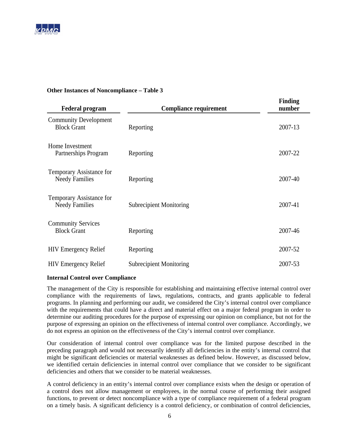

# **Other Instances of Noncompliance – Table 3**

| <b>Federal program</b>                             | <b>Compliance requirement</b>  | Finding<br>number |
|----------------------------------------------------|--------------------------------|-------------------|
| <b>Community Development</b><br><b>Block Grant</b> | Reporting                      | 2007-13           |
| Home Investment<br>Partnerships Program            | Reporting                      | 2007-22           |
| Temporary Assistance for<br><b>Needy Families</b>  | Reporting                      | 2007-40           |
| Temporary Assistance for<br><b>Needy Families</b>  | <b>Subrecipient Monitoring</b> | 2007-41           |
| <b>Community Services</b><br><b>Block Grant</b>    | Reporting                      | 2007-46           |
| <b>HIV Emergency Relief</b>                        | Reporting                      | 2007-52           |
| <b>HIV Emergency Relief</b>                        | <b>Subrecipient Monitoring</b> | 2007-53           |

### **Internal Control over Compliance**

The management of the City is responsible for establishing and maintaining effective internal control over compliance with the requirements of laws, regulations, contracts, and grants applicable to federal programs. In planning and performing our audit, we considered the City's internal control over compliance with the requirements that could have a direct and material effect on a major federal program in order to determine our auditing procedures for the purpose of expressing our opinion on compliance, but not for the purpose of expressing an opinion on the effectiveness of internal control over compliance. Accordingly, we do not express an opinion on the effectiveness of the City's internal control over compliance.

Our consideration of internal control over compliance was for the limited purpose described in the preceding paragraph and would not necessarily identify all deficiencies in the entity's internal control that might be significant deficiencies or material weaknesses as defined below. However, as discussed below, we identified certain deficiencies in internal control over compliance that we consider to be significant deficiencies and others that we consider to be material weaknesses.

A control deficiency in an entity's internal control over compliance exists when the design or operation of a control does not allow management or employees, in the normal course of performing their assigned functions, to prevent or detect noncompliance with a type of compliance requirement of a federal program on a timely basis. A significant deficiency is a control deficiency, or combination of control deficiencies,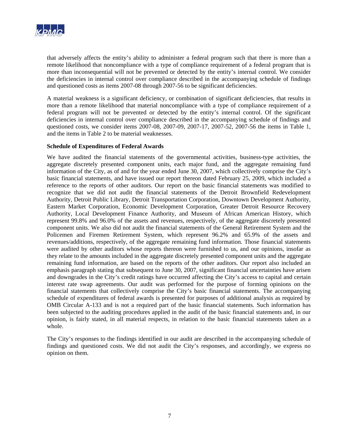

that adversely affects the entity's ability to administer a federal program such that there is more than a remote likelihood that noncompliance with a type of compliance requirement of a federal program that is more than inconsequential will not be prevented or detected by the entity's internal control. We consider the deficiencies in internal control over compliance described in the accompanying schedule of findings and questioned costs as items 2007-08 through 2007-56 to be significant deficiencies.

A material weakness is a significant deficiency, or combination of significant deficiencies, that results in more than a remote likelihood that material noncompliance with a type of compliance requirement of a federal program will not be prevented or detected by the entity's internal control. Of the significant deficiencies in internal control over compliance described in the accompanying schedule of findings and questioned costs, we consider items 2007-08, 2007-09, 2007-17, 2007-52, 2007-56 the items in Table 1, and the items in Table 2 to be material weaknesses.

# **Schedule of Expenditures of Federal Awards**

We have audited the financial statements of the governmental activities, business-type activities, the aggregate discretely presented component units, each major fund, and the aggregate remaining fund information of the City, as of and for the year ended June 30, 2007, which collectively comprise the City's basic financial statements, and have issued our report thereon dated February 25, 2009, which included a reference to the reports of other auditors. Our report on the basic financial statements was modified to recognize that we did not audit the financial statements of the Detroit Brownfield Redevelopment Authority, Detroit Public Library, Detroit Transportation Corporation, Downtown Development Authority, Eastern Market Corporation, Economic Development Corporation, Greater Detroit Resource Recovery Authority, Local Development Finance Authority, and Museum of African American History, which represent 99.8% and 96.0% of the assets and revenues, respectively, of the aggregate discretely presented component units. We also did not audit the financial statements of the General Retirement System and the Policemen and Firemen Retirement System, which represent 96.2% and 65.9% of the assets and revenues/additions, respectively, of the aggregate remaining fund information. Those financial statements were audited by other auditors whose reports thereon were furnished to us, and our opinions, insofar as they relate to the amounts included in the aggregate discretely presented component units and the aggregate remaining fund information, are based on the reports of the other auditors. Our report also included an emphasis paragraph stating that subsequent to June 30, 2007, significant financial uncertainties have arisen and downgrades in the City's credit ratings have occurred affecting the City's access to capital and certain interest rate swap agreements. Our audit was performed for the purpose of forming opinions on the financial statements that collectively comprise the City's basic financial statements. The accompanying schedule of expenditures of federal awards is presented for purposes of additional analysis as required by OMB Circular A-133 and is not a required part of the basic financial statements. Such information has been subjected to the auditing procedures applied in the audit of the basic financial statements and, in our opinion, is fairly stated, in all material respects, in relation to the basic financial statements taken as a whole.

The City's responses to the findings identified in our audit are described in the accompanying schedule of findings and questioned costs. We did not audit the City's responses, and accordingly, we express no opinion on them.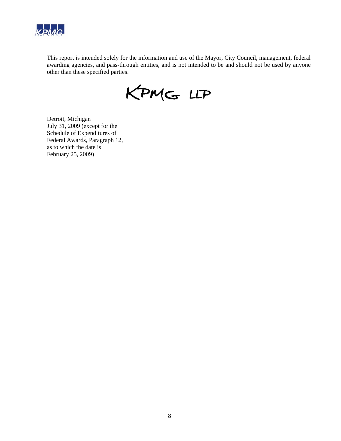

This report is intended solely for the information and use of the Mayor, City Council, management, federal awarding agencies, and pass-through entities, and is not intended to be and should not be used by anyone other than these specified parties.

KPMG LLP

Detroit, Michigan July 31, 2009 (except for the Schedule of Expenditures of Federal Awards, Paragraph 12, as to which the date is February 25, 2009)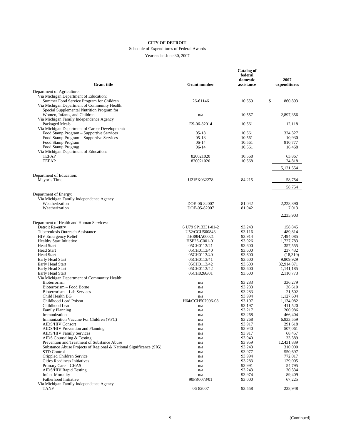#### Schedule of Expenditures of Federal Awards

| <b>Grant title</b>                                                       | <b>Grant number</b>        | <b>Catalog of</b><br>federal<br>domestic<br>assistance | 2007<br>expenditures |
|--------------------------------------------------------------------------|----------------------------|--------------------------------------------------------|----------------------|
|                                                                          |                            |                                                        |                      |
| Department of Agriculture:<br>Via Michigan Department of Education:      |                            |                                                        |                      |
| Summer Food Service Program for Children                                 | 26-61146                   | 10.559                                                 | \$<br>860.893        |
| Via Michigan Department of Community Health:                             |                            |                                                        |                      |
| Special Supplemental Nutrition Program for                               |                            |                                                        |                      |
| Women, Infants, and Children                                             | n/a                        | 10.557                                                 | 2,897,356            |
| Via Michigan Family Independence Agency<br>Packaged Meals                | ES-06-82014                | 10.561                                                 | 12,118               |
| Via Michigan Department of Career Development:                           |                            |                                                        |                      |
| Food Stamp Program - Supportive Services                                 | $05-18$                    | 10.561                                                 | 324,327              |
| Food Stamp Program - Supportive Services                                 | $05-18$                    | 10.561                                                 | 10,930               |
| Food Stamp Program                                                       | $06-14$                    | 10.561                                                 | 910,777              |
| Food Stamp Program<br>Via Michigan Department of Education:              | $06-14$                    | 10.561                                                 | 16,468               |
| <b>TEFAP</b>                                                             | 820021020                  | 10.568                                                 | 63,867               |
| <b>TEFAP</b>                                                             | 820021020                  | 10.568                                                 | 24,818               |
|                                                                          |                            |                                                        | 5,121,554            |
| Department of Education:                                                 |                            |                                                        |                      |
| Mayor's Time                                                             | U215K032278                | 84.215                                                 | 58,754               |
|                                                                          |                            |                                                        | 58,754               |
| Department of Energy:                                                    |                            |                                                        |                      |
| Via Michigan Family Independence Agency<br>Weatherization                | DOE-06-82007               | 81.042                                                 | 2,228,890            |
| Weatherization                                                           | DOE-05-82007               | 81.042                                                 | 7,013                |
|                                                                          |                            |                                                        | 2,235,903            |
| Department of Health and Human Services:                                 |                            |                                                        |                      |
| Detroit Re-entry                                                         | 6 U79 SP13331-01-2         | 93.243                                                 | 158,845              |
| Tuberculosis Outreach Assistance                                         | U52/CCU500843              | 93.116                                                 | 489,814              |
| <b>HIV Emergency Relief</b>                                              | 5H89HA00021                | 93.914                                                 | 7,494,085            |
| <b>Healthy Start Initiative</b><br><b>Head Start</b>                     | HSP26-C001-01              | 93.926                                                 | 1,727,783            |
| <b>Head Start</b>                                                        | 05CH0113/41<br>05CH0113/40 | 93.600<br>93.600                                       | 357,555<br>237,432   |
| <b>Head Start</b>                                                        | 05CH0113/40                | 93.600                                                 | (18,319)             |
| Early Head Start                                                         | 05CH0113/41                | 93.600                                                 | 9,809,929            |
| Early Head Start                                                         | 05CH0113/42                | 93.600                                                 | 32,914,871           |
| Early Head Start                                                         | 05CH0113/42                | 93.600                                                 | 1,141,185            |
| Early Head Start<br>Via Michigan Department of Community Health:         | 05CH8266/01                | 93.600                                                 | 2,110,773            |
| Bioterrorism                                                             | n/a                        | 93.283                                                 | 336,279              |
| Bioterrorism – Food Borne                                                | n/a                        | 93.283                                                 | 36,610               |
| Bioterrorism - Lab Services                                              | n/a                        | 93.283                                                 | 21,502               |
| Child Health BG                                                          | n/a                        | 93.994                                                 | 1,127,604            |
| Childhood Lead Poison                                                    | H64/CCH507996-08           | 93.197                                                 | 1,134,082            |
| Childhood Lead<br><b>Family Planning</b>                                 | n/a<br>n/a                 | 93.197<br>93.217                                       | 411,520<br>200,986   |
| Immunization                                                             | n/a                        | 93.268                                                 | 466,404              |
| Immunization Vaccine For Children (VFC)                                  | n/a                        | 93.268                                                 | 6,933,559            |
| <b>AIDS/HIV Consort</b>                                                  | n/a                        | 93.917                                                 | 291,618              |
| AIDS/HIV Prevention and Planning                                         | n/a                        | 93.940                                                 | 507,061              |
| <b>AIDS/HIV Family Services</b>                                          | n/a                        | 93.917                                                 | 68,457               |
| AIDS Counseling & Testing<br>Prevention and Treatment of Substance Abuse | n/a<br>n/a                 | 93.940<br>93.959                                       | 33,389<br>12,431,839 |
| Substance Abuse Projects of Regional & National Significance (SIG)       | n/a                        | 93.243                                                 | 310,000              |
| <b>STD</b> Control                                                       | n/a                        | 93.977                                                 | 550,697              |
| Crippled Children Service                                                | n/a                        | 93.994                                                 | 772,017              |
| Cities Readiness Initiatives                                             | n/a                        | 93.283                                                 | 129,005              |
| Primary Care - CHAS                                                      | n/a                        | 93.991                                                 | 54,795               |
| <b>AIDS/HIV Rapid Testing</b><br><b>Infant Mortality</b>                 | n/a<br>n/a                 | 93.243<br>93.974                                       | 30,334               |
| Fatherhood Initiative                                                    | 90FR0073/01                | 93.000                                                 | 89,409<br>67,225     |
| Via Michigan Family Independence Agency                                  |                            |                                                        |                      |
| <b>TANF</b>                                                              | 06-82007                   | 93.558                                                 | 238,948              |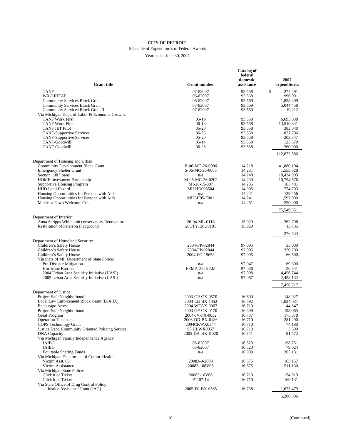#### Schedule of Expenditures of Federal Awards

| <b>Grant title</b>                                                           | <b>Grant number</b>               | <b>Catalog of</b><br>federal<br>domestic<br>assistance | 2007<br>expenditures |
|------------------------------------------------------------------------------|-----------------------------------|--------------------------------------------------------|----------------------|
| <b>TANF</b>                                                                  | 07-82007                          | 93.558                                                 | \$<br>274,491        |
| <b>WX-LIHEAP</b>                                                             | 06-82007                          | 93.568                                                 | 996,001              |
| <b>Community Services Block Grant</b>                                        | 06-82007                          | 93.569                                                 | 1.858.499            |
| <b>Community Services Block Grant</b>                                        | 07-82007                          | 93.569                                                 | 5,044,458            |
| <b>Community Services Block Grant-T</b>                                      | 07-82007                          | 93.569                                                 | 19,212               |
| Via Michigan Dept. of Labor & Economic Growth:                               |                                   |                                                        |                      |
| <b>TANF Work First</b>                                                       | $05-19$                           | 93.558                                                 | 6,695,038            |
| <b>TANF Work First</b>                                                       | $06-13$                           | 93.558                                                 | 13,510,841           |
| <b>TANF JET Pilot</b>                                                        | $05 - 28$                         | 93.558                                                 | 383,040              |
| <b>TANF-Supportive Services</b>                                              | $06-25$<br>$05 - 20$              | 93.558<br>93.558                                       | 837,796              |
| <b>TANF-Supportive Services</b><br>TANF-Goodwill                             | $05-14$                           | 93.558                                                 | 203,347<br>125,570   |
| TANF-Goodwill                                                                | 06-26                             | 93.558                                                 | 260,000              |
|                                                                              |                                   |                                                        |                      |
|                                                                              |                                   |                                                        | 112,875,586          |
| Department of Housing and Urban:<br><b>Community Development Block Grant</b> | B-06-MC-26-0006                   | 14.218                                                 | 41,880,104           |
| <b>Emergency Shelter Grant</b>                                               | S-06-MC-26-0006                   | 14.231                                                 | 1,553,328            |
| Section 108 Loans                                                            | n/a                               | 14.248                                                 | 18,434,903           |
| <b>HOME</b> Investment Partnership                                           | M-06-MC-26-0202                   | 14.239                                                 | 10,754,576           |
| <b>Supportive Housing Program</b>                                            | MI-28-15-307                      | 14.235                                                 | 165,481              |
| <b>HUD Lead Hazard</b>                                                       | <b>MILHD003504</b>                | 14.905                                                 | 774,703              |
| Housing Opportunities for Persona with Aids                                  | n/a                               | 14.241                                                 | 139.456              |
| Housing Opportunities for Persona with Aids                                  | MI26H05-F001                      | 14.241                                                 | 1,597,000            |
| Mexican Town Welcome Ctr.                                                    | n/a                               | 14.251                                                 | 250,000              |
|                                                                              |                                   |                                                        | 75,549,551           |
| Department of Interior:                                                      |                                   |                                                        |                      |
| Anna Scripps Whitcomb conservatory Renovation                                | 26-04-ML-0118                     | 15.929<br>15.929                                       | 262,798              |
| Restoration of Peterson Playground                                           | 26CTY126O0101                     |                                                        | 13,735               |
|                                                                              |                                   |                                                        | 276,533              |
| Department of Homeland Security:<br>Children's Safety House                  | 2004-FP-02844                     | 97.095                                                 | 35,000               |
| Children's Safety House                                                      | 2004-FP-02844                     | 97.095                                                 | 350,700              |
| Children's Safety House                                                      | 2004-FG-19658                     | 97.095                                                 | 66,500               |
| Via State of MI, Department of State Police:                                 |                                   |                                                        |                      |
| Pre-Disaster Mitigation                                                      | n/a                               | 97.047                                                 | 69,300               |
| Hurricane Katrina                                                            | <b>FEMA-3225-EM</b>               | 97.036                                                 | 20,341               |
| 2004 Urban Area Security Initiative (UASI)                                   | n/a                               | 97.008                                                 | 4,456,744            |
| 2005 Urban Area Security Initiative (UASI)                                   | n/a                               | 97.067                                                 | 2,458,132            |
|                                                                              |                                   |                                                        | 7,456,717            |
| Department of Justice:                                                       |                                   |                                                        |                      |
| Project Safe Neighborhood                                                    | 2003-GP-CX-0570                   | 16.609                                                 | 148,927              |
| Local Law Enforcement Block Grant (BJA IX)                                   | 2004-LB-BX-1452                   | 16.592                                                 | 1,034,031            |
| <b>Encourage Arrest</b>                                                      | 2004-WEAX-0067<br>2003-GP-CX-0170 | 16.710<br>16.609                                       | 44,647<br>193,065    |
| Project Safe Neighborhood<br><b>Great Program</b>                            | 2004-JV-FX-0032                   | 16.737                                                 | 175,078              |
| <b>Operation Take back</b>                                                   |                                   |                                                        |                      |
| <b>COPS</b> Technology Grant                                                 | 2006-DD-BX-0186<br>2004CKWX0344   | 16.710<br>16.710                                       | 281,290<br>74,180    |
| Justice Dept. Community Oriented Policing Service                            | 98 ULWX0057                       | 16.710                                                 | 3,390                |
| <b>DNA</b> Capacity                                                          | 2005-DA-BX-K020                   | 16.741                                                 | 91,572               |
| Via Michigan Family Independence Agency                                      |                                   |                                                        |                      |
| JAIBG                                                                        | 05-82007                          | 16.523                                                 | 198,751              |
| <b>JAIBG</b>                                                                 | 05-82007                          | 16.523                                                 | 79,024               |
| <b>Equitable Sharing Funds</b>                                               | n/a                               | 16.999                                                 | 265,131              |
| Via Michigan Department of Comm. Health:                                     |                                   |                                                        |                      |
| Victim Asst. 05                                                              | 20083-9-2003                      | 16.575                                                 | 163,157              |
| Victim Assistance                                                            | 20083-108V06                      | 16.575                                                 | 511,130              |
| Via Michigan State Police:                                                   |                                   |                                                        |                      |
| Click it or Ticket                                                           | 20083-10V06                       | 16.710                                                 | 174,913              |
| Click it or Ticket                                                           | PT-07-14                          | 16.710                                                 | 169,131              |
| Via State Office of Drug Control Policy:<br>Justice Assistance Grant (JAG)   | 2005-DJ-BX-0565                   | 16.738                                                 |                      |
|                                                                              |                                   |                                                        | 1,673,479            |
|                                                                              |                                   |                                                        | 5,280,896            |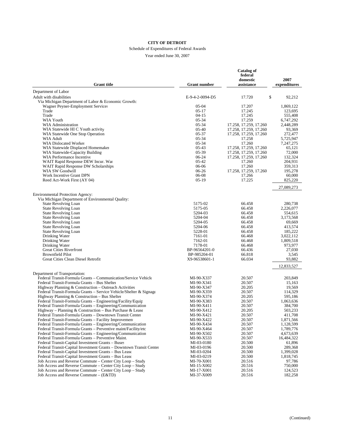#### Schedule of Expenditures of Federal Awards

| <b>Grant title</b>                                                                                                           | <b>Grant number</b>      | Catalog of<br>federal<br>domestic<br>assistance | 2007<br>expenditures   |
|------------------------------------------------------------------------------------------------------------------------------|--------------------------|-------------------------------------------------|------------------------|
| Department of Labor                                                                                                          |                          |                                                 |                        |
| Adult with disabilities                                                                                                      | E-9-4-2-0094-D5          | \$<br>17.720                                    | 92,212                 |
| Via Michigan Department of Labor & Economic Growth:                                                                          |                          |                                                 |                        |
| Wagner Peyner-Employment Services                                                                                            | 05-04                    | 17.207                                          | 1,869,122              |
| Trade                                                                                                                        | $05-17$                  | 17.245                                          | 123,695                |
| Trade<br><b>WIA Youth</b>                                                                                                    | $04-15$<br>$05 - 34$     | 17.245                                          | 555,408                |
| WIA Administration                                                                                                           | $05 - 34$                | 17.259<br>17.258, 17.259, 17.260                | 6,747,292<br>2,448,289 |
| WIA Statewide HI C Youth activity                                                                                            | $05-40$                  | 17.258, 17.259, 17.260                          | 93,369                 |
| WIA Statewide One Stop Operation                                                                                             | 05-37                    | 17.258, 17.259, 17.260                          | 272,477                |
| WIA Adult                                                                                                                    | $05 - 34$                | 17.258                                          | 5,725,947              |
| WIA Dislocated Worker                                                                                                        | $05 - 34$                | 17.260                                          | 7,247,275              |
| WIA Statewide Displaced Homemaker                                                                                            | $05-43$                  | 17.258, 17.259, 17.260                          | 65,121                 |
| WIA Statewide-Capacity Building                                                                                              | 05-39                    | 17.258, 17.259, 17.260                          | 72,000                 |
| WIA Performance Incentive<br>WAIT Rapid Response DEW Incur. War                                                              | $06-24$<br>$05-42$       | 17.258, 17.259, 17.260<br>17.260                | 132,324<br>204,931     |
| WAIT Rapid Response DW Scholarships                                                                                          | $06-06$                  | 17.260                                          | 359,313                |
| WIA SW Goodwill                                                                                                              | 06-26                    | 17.258, 17.259, 17.260                          | 195,278                |
| Work Incentive Grant DPN                                                                                                     | 06-08                    | 17.266                                          | 60,000                 |
| Reed Act-Work First (AY 04)                                                                                                  | $05-19$                  | 17.225                                          | 825,220                |
|                                                                                                                              |                          |                                                 | 27,089,273             |
| <b>Environmental Protection Agency:</b>                                                                                      |                          |                                                 |                        |
| Via Michigan Department of Environmental Quality:                                                                            |                          |                                                 |                        |
| <b>State Revolving Loan</b><br><b>State Revolving Loan</b>                                                                   | 5175-02<br>5175-05       | 66.458<br>66.458                                | 280,738                |
| <b>State Revolving Loan</b>                                                                                                  | 5204-03                  | 66.458                                          | 2,226,077<br>554,615   |
| <b>State Revolving Loan</b>                                                                                                  | 5204-04                  | 66.458                                          | 3,173,568              |
| <b>State Revolving Loan</b>                                                                                                  | 5204-05                  | 66.458                                          | 69,669                 |
| <b>State Revolving Loan</b>                                                                                                  | 5204-06                  | 66.458                                          | 413,574                |
| <b>State Revolving Loan</b>                                                                                                  | 5228-01                  | 66.458                                          | 185,222                |
| Drinking Water                                                                                                               | 7161-01                  | 66.468                                          | 3,022,112              |
| Drinking Water                                                                                                               | 7162-01                  | 66.468                                          | 1,809,518              |
| Drinking Water<br><b>Great Cities Riverfront</b>                                                                             | 7178-01<br>BP-96564201-0 | 66.468<br>66.436                                | 973,977                |
| <b>Brownfield Pilot</b>                                                                                                      | BP-985204-01             | 66.818                                          | 27,030<br>3,545        |
| Great Cities Clean Diesel Retrofit                                                                                           | X9-96538601-1            | 66.034                                          | 93,882                 |
|                                                                                                                              |                          |                                                 | 12,833,527             |
| Department of Transportation:                                                                                                |                          |                                                 |                        |
| Federal Transit-Formula Grants - Communication/Service Vehicle                                                               | MI-90-X337               | 20.507                                          | 203,849                |
| Federal Transit-Formula Grants - Bus Shelter                                                                                 | MI-90-X341               | 20.507<br>20.205                                | 15,163<br>19,569       |
| Highway Planning & Construction – Outreach Activities<br>Federal Transit-Formula Grants – Service Vehicle/Shelter & Signage  | MI-90-X347<br>MI-90-X359 | 20.507                                          | 114,329                |
| Highway Planning & Construction - Bus Shelter                                                                                | MI-90-X374               | 20.205                                          | 595,186                |
| Federal Transit-Formula Grants - Engineering/Facility/Equip                                                                  | MI-90-X383               | 20.507                                          | 1,063,636              |
| Federal Transit-Formula Grants – Engineering/Communication                                                                   | MI-90-X411               | 20.507                                          | 384,700                |
| Highway – Planning & Construction – Bus Purchase & Lease                                                                     | MI-90-X412               | 20.205                                          | 503,233                |
| Federal Transit-Formula Grants - Downtown Transit Center                                                                     | MI-90-X421               | 20.507                                          | 411,708                |
| Federal Transit-Formula Grants - Facility Improvement                                                                        | MI-90-X422               | 20.507                                          | 1,871,566              |
| Federal Transit-Formula Grants – Engineering/Communication<br>Federal Transit-Formula Grants - Preventive maint/Facility/etc | MI-90-X434<br>MI-90-X464 | 20.507<br>20.507                                | 1,128,599<br>1,789,776 |
| Federal Transit-Formula Grants – Engineering/Communication                                                                   | MI-90-X502               | 20.507                                          | 4,673,639              |
| Federal Transit-Formula Grants - Preventive Maint.                                                                           | MI-90-X533               | 20.507                                          | 16,484,322             |
| Federal Transit-Capital Investment Grants - Buses                                                                            | MI-03-0180               | 20.500                                          | 61,896                 |
| Federal Transit-Capital Investment Grants - Downtown Transit Center                                                          | MI-03-0196               | 20.500                                          | 289,368                |
| Federal Transit-Capital Investment Grants – Bus Lease                                                                        | MI-03-0204               | 20.500                                          | 1,399,028              |
| Federal Transit-Capital Investment Grants - Bus Lease                                                                        | MI-03-0219               | 20.500                                          | 1,818,745              |
| Job Access and Reverse Commute – Center City Loop – Study                                                                    | MI-70-X001               | 20.516                                          | 97,786                 |
| Job Access and Reverse Commute – Center City Loop – Study                                                                    | MI-15-X002               | 20.516                                          | 750,000                |
| Job Access and Reverse Commute - Center City Loop - Study<br>Job Access and Reverse Commute - (E&TD)                         | MI-17-X001<br>MI-37-X009 | 20.516<br>20.516                                | 124,523<br>182,258     |
|                                                                                                                              |                          |                                                 |                        |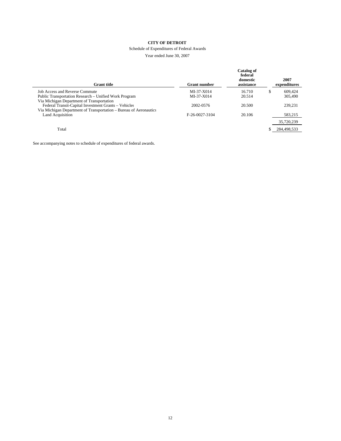#### Schedule of Expenditures of Federal Awards

Year ended June 30, 2007

| <b>Grant</b> title                                                | <b>Grant number</b> | Catalog of<br>federal<br>domestic<br>assistance | 2007<br>expenditures |
|-------------------------------------------------------------------|---------------------|-------------------------------------------------|----------------------|
| Job Access and Reverse Commute                                    | $MI-37-X014$        | 16.710                                          | \$<br>609,424        |
| Public Transportation Research - Unified Work Program             | MI-37-X014          | 20.514                                          | 305,490              |
| Via Michigan Department of Transportation                         |                     |                                                 |                      |
| Federal Transit-Capital Investment Grants - Vehicles              | 2002-0576           | 20.500                                          | 239,231              |
| Via Michigan Department of Transportation – Bureau of Aeronautics |                     |                                                 |                      |
| Land Acquisition                                                  | F-26-0027-3104      | 20.106                                          | 583,215              |
|                                                                   |                     |                                                 | 35,720,239           |
| Total                                                             |                     |                                                 | 284,498,533          |

See accompanying notes to schedule of expenditures of federal awards.

÷,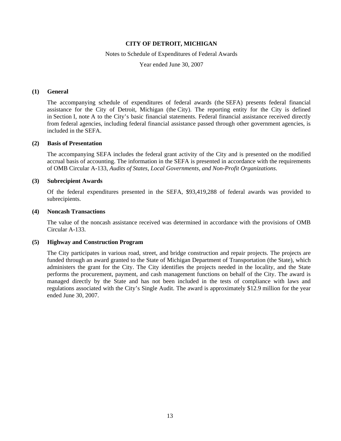#### Notes to Schedule of Expenditures of Federal Awards

Year ended June 30, 2007

### **(1) General**

The accompanying schedule of expenditures of federal awards (the SEFA) presents federal financial assistance for the City of Detroit, Michigan (the City). The reporting entity for the City is defined in Section I, note A to the City's basic financial statements. Federal financial assistance received directly from federal agencies, including federal financial assistance passed through other government agencies, is included in the SEFA.

#### **(2) Basis of Presentation**

The accompanying SEFA includes the federal grant activity of the City and is presented on the modified accrual basis of accounting. The information in the SEFA is presented in accordance with the requirements of OMB Circular A-133, *Audits of States, Local Governments, and Non-Profit Organizations*.

### **(3) Subrecipient Awards**

Of the federal expenditures presented in the SEFA, \$93,419,288 of federal awards was provided to subrecipients.

### **(4) Noncash Transactions**

The value of the noncash assistance received was determined in accordance with the provisions of OMB Circular A-133.

### **(5) Highway and Construction Program**

The City participates in various road, street, and bridge construction and repair projects. The projects are funded through an award granted to the State of Michigan Department of Transportation (the State), which administers the grant for the City. The City identifies the projects needed in the locality, and the State performs the procurement, payment, and cash management functions on behalf of the City. The award is managed directly by the State and has not been included in the tests of compliance with laws and regulations associated with the City's Single Audit. The award is approximately \$12.9 million for the year ended June 30, 2007.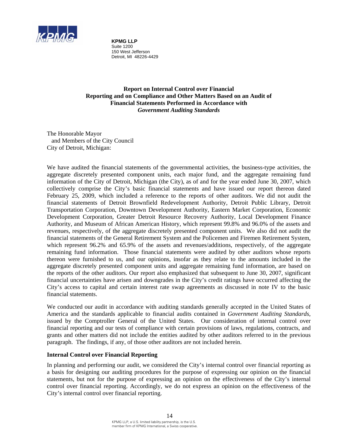

**KPMG LLP** Suite 1200 150 West Jefferson Detroit, MI 48226-4429

**Report on Internal Control over Financial Reporting and on Compliance and Other Matters Based on an Audit of Financial Statements Performed in Accordance with**  *Government Auditing Standards*

The Honorable Mayor and Members of the City Council City of Detroit, Michigan:

We have audited the financial statements of the governmental activities, the business-type activities, the aggregate discretely presented component units, each major fund, and the aggregate remaining fund information of the City of Detroit, Michigan (the City), as of and for the year ended June 30, 2007, which collectively comprise the City's basic financial statements and have issued our report thereon dated February 25, 2009, which included a reference to the reports of other auditors. We did not audit the financial statements of Detroit Brownfield Redevelopment Authority, Detroit Public Library, Detroit Transportation Corporation, Downtown Development Authority, Eastern Market Corporation, Economic Development Corporation, Greater Detroit Resource Recovery Authority, Local Development Finance Authority, and Museum of African American History, which represent 99.8% and 96.0% of the assets and revenues, respectively, of the aggregate discretely presented component units. We also did not audit the financial statements of the General Retirement System and the Policemen and Firemen Retirement System, which represent 96.2% and 65.9% of the assets and revenues/additions, respectively, of the aggregate remaining fund information. Those financial statements were audited by other auditors whose reports thereon were furnished to us, and our opinions, insofar as they relate to the amounts included in the aggregate discretely presented component units and aggregate remaining fund information, are based on the reports of the other auditors. Our report also emphasized that subsequent to June 30, 2007, significant financial uncertainties have arisen and downgrades in the City's credit ratings have occurred affecting the City's access to capital and certain interest rate swap agreements as discussed in note IV to the basic financial statements.

We conducted our audit in accordance with auditing standards generally accepted in the United States of America and the standards applicable to financial audits contained in *Government Auditing Standards*, issued by the Comptroller General of the United States. Our consideration of internal control over financial reporting and our tests of compliance with certain provisions of laws, regulations, contracts, and grants and other matters did not include the entities audited by other auditors referred to in the previous paragraph. The findings, if any, of those other auditors are not included herein.

### **Internal Control over Financial Reporting**

In planning and performing our audit, we considered the City's internal control over financial reporting as a basis for designing our auditing procedures for the purpose of expressing our opinion on the financial statements, but not for the purpose of expressing an opinion on the effectiveness of the City's internal control over financial reporting. Accordingly, we do not express an opinion on the effectiveness of the City's internal control over financial reporting.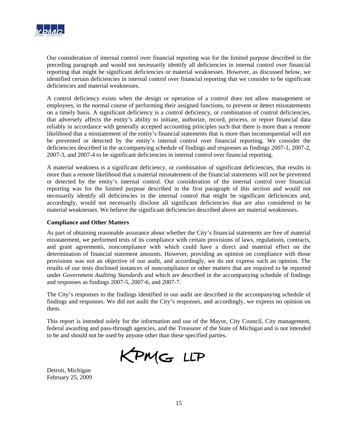

Our consideration of internal control over financial reporting was for the limited purpose described in the preceding paragraph and would not necessarily identify all deficiencies in internal control over financial reporting that might be significant deficiencies or material weaknesses. However, as discussed below, we identified certain deficiencies in internal control over financial reporting that we consider to be significant deficiencies and material weaknesses.

A control deficiency exists when the design or operation of a control does not allow management or employees, in the normal course of performing their assigned functions, to prevent or detect misstatements on a timely basis. A significant deficiency is a control deficiency, or combination of control deficiencies, that adversely affects the entity's ability to initiate, authorize, record, process, or report financial data reliably in accordance with generally accepted accounting principles such that there is more than a remote likelihood that a misstatement of the entity's financial statements that is more than inconsequential will not be prevented or detected by the entity's internal control over financial reporting. We consider the deficiencies described in the accompanying schedule of findings and responses as findings 2007-1, 2007-2, 2007-3, and 2007-4 to be significant deficiencies in internal control over financial reporting.

A material weakness is a significant deficiency, or combination of significant deficiencies, that results in more than a remote likelihood that a material misstatement of the financial statements will not be prevented or detected by the entity's internal control. Our consideration of the internal control over financial reporting was for the limited purpose described in the first paragraph of this section and would not necessarily identify all deficiencies in the internal control that might be significant deficiencies and, accordingly, would not necessarily disclose all significant deficiencies that are also considered to be material weaknesses. We believe the significant deficiencies described above are material weaknesses.

# **Compliance and Other Matters**

As part of obtaining reasonable assurance about whether the City's financial statements are free of material misstatement, we performed tests of its compliance with certain provisions of laws, regulations, contracts, and grant agreements, noncompliance with which could have a direct and material effect on the determination of financial statement amounts. However, providing an opinion on compliance with those provisions was not an objective of our audit, and accordingly, we do not express such an opinion. The results of our tests disclosed instances of noncompliance or other matters that are required to be reported under *Government Auditing Standards* and which are described in the accompanying schedule of findings and responses as findings 2007-5, 2007-6, and 2007-7.

The City's responses to the findings identified in our audit are described in the accompanying schedule of findings and responses. We did not audit the City's responses, and accordingly, we express no opinion on them.

This report is intended solely for the information and use of the Mayor, City Council, City management, federal awarding and pass-through agencies, and the Treasurer of the State of Michigan and is not intended to be and should not be used by anyone other than these specified parties.

KPMG LLP

Detroit, Michigan February 25, 2009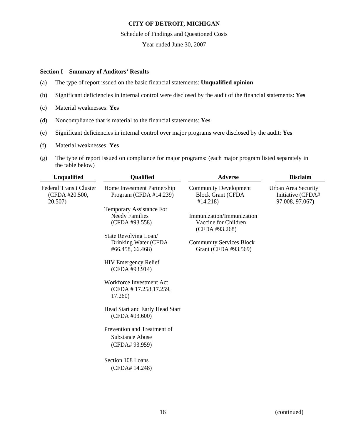Schedule of Findings and Questioned Costs

Year ended June 30, 2007

# **Section I – Summary of Auditors' Results**

- (a) The type of report issued on the basic financial statements: **Unqualified opinion**
- (b) Significant deficiencies in internal control were disclosed by the audit of the financial statements: **Yes**
- (c) Material weaknesses: **Yes**
- (d) Noncompliance that is material to the financial statements: **Yes**
- (e) Significant deficiencies in internal control over major programs were disclosed by the audit: **Yes**
- (f) Material weaknesses: **Yes**
- (g) The type of report issued on compliance for major programs: (each major program listed separately in the table below)

| <b>Unqualified</b>                                          | Qualified                                                                  | <b>Adverse</b>                                                      | <b>Disclaim</b>                                             |
|-------------------------------------------------------------|----------------------------------------------------------------------------|---------------------------------------------------------------------|-------------------------------------------------------------|
| <b>Federal Transit Cluster</b><br>(CFDA #20.500,<br>20.507) | Home Investment Partnership<br>Program (CFDA $#14.239$ )                   | <b>Community Development</b><br><b>Block Grant (CFDA</b><br>#14.218 | Urban Area Security<br>Initiative (CFDA#<br>97.008, 97.067) |
|                                                             | <b>Temporary Assistance For</b><br><b>Needy Families</b><br>(CFDA #93.558) | Immunization/Immunization<br>Vaccine for Children<br>(CFDA #93.268) |                                                             |
|                                                             | State Revolving Loan/<br>Drinking Water (CFDA<br>#66.458, 66.468)          | <b>Community Services Block</b><br>Grant (CFDA #93.569)             |                                                             |
|                                                             | <b>HIV Emergency Relief</b><br>(CFDA #93.914)                              |                                                                     |                                                             |
|                                                             | Workforce Investment Act<br>(CFDA #17.258,17.259,<br>17.260                |                                                                     |                                                             |
|                                                             | Head Start and Early Head Start<br>(CFDA #93.600)                          |                                                                     |                                                             |
|                                                             | Prevention and Treatment of<br><b>Substance Abuse</b><br>(CFDA# 93.959)    |                                                                     |                                                             |
|                                                             | Section 108 Loans<br>(CFDA# 14.248)                                        |                                                                     |                                                             |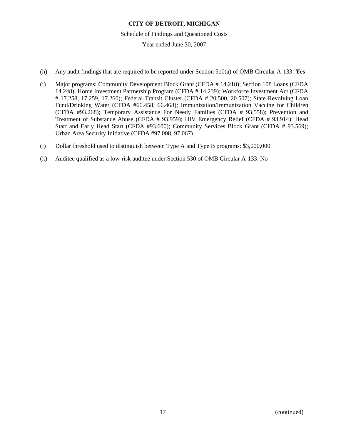Schedule of Findings and Questioned Costs

- (h) Any audit findings that are required to be reported under Section 510(a) of OMB Circular A-133: **Yes**
- (i) Major programs: Community Development Block Grant (CFDA # 14.218); Section 108 Loans (CFDA 14.248); Home Investment Partnership Program (CFDA # 14.239); Workforce Investment Act (CFDA # 17.258, 17.259, 17.260); Federal Transit Cluster (CFDA # 20.500, 20.507); State Revolving Loan Fund/Drinking Water (CFDA #66.458, 66.468); Immunization/Immunization Vaccine for Children (CFDA #93.268); Temporary Assistance For Needy Families (CFDA # 93.558); Prevention and Treatment of Substance Abuse (CFDA # 93.959); HIV Emergency Relief (CFDA # 93.914); Head Start and Early Head Start (CFDA #93.600); Community Services Block Grant (CFDA # 93.569); Urban Area Security Initiative (CFDA #97.008, 97.067)
- (j) Dollar threshold used to distinguish between Type A and Type B programs: \$3,000,000
- (k) Auditee qualified as a low-risk auditee under Section 530 of OMB Circular A-133: No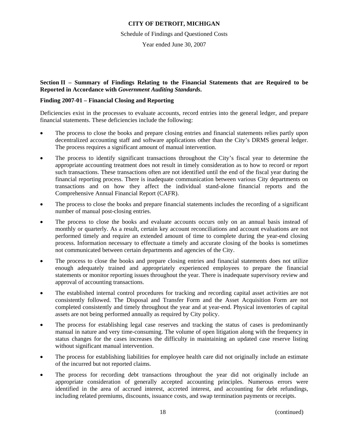Schedule of Findings and Questioned Costs

Year ended June 30, 2007

**Section II – Summary of Findings Relating to the Financial Statements that are Required to be Reported in Accordance with** *Government Auditing Standards***.** 

# **Finding 2007-01 – Financial Closing and Reporting**

Deficiencies exist in the processes to evaluate accounts, record entries into the general ledger, and prepare financial statements. These deficiencies include the following:

- The process to close the books and prepare closing entries and financial statements relies partly upon decentralized accounting staff and software applications other than the City's DRMS general ledger. The process requires a significant amount of manual intervention.
- The process to identify significant transactions throughout the City's fiscal year to determine the appropriate accounting treatment does not result in timely consideration as to how to record or report such transactions. These transactions often are not identified until the end of the fiscal year during the financial reporting process. There is inadequate communication between various City departments on transactions and on how they affect the individual stand-alone financial reports and the Comprehensive Annual Financial Report (CAFR).
- The process to close the books and prepare financial statements includes the recording of a significant number of manual post-closing entries.
- The process to close the books and evaluate accounts occurs only on an annual basis instead of monthly or quarterly. As a result, certain key account reconciliations and account evaluations are not performed timely and require an extended amount of time to complete during the year-end closing process. Information necessary to effectuate a timely and accurate closing of the books is sometimes not communicated between certain departments and agencies of the City.
- The process to close the books and prepare closing entries and financial statements does not utilize enough adequately trained and appropriately experienced employees to prepare the financial statements or monitor reporting issues throughout the year. There is inadequate supervisory review and approval of accounting transactions.
- The established internal control procedures for tracking and recording capital asset activities are not consistently followed. The Disposal and Transfer Form and the Asset Acquisition Form are not completed consistently and timely throughout the year and at year-end. Physical inventories of capital assets are not being performed annually as required by City policy.
- The process for establishing legal case reserves and tracking the status of cases is predominantly manual in nature and very time-consuming. The volume of open litigation along with the frequency in status changes for the cases increases the difficulty in maintaining an updated case reserve listing without significant manual intervention.
- The process for establishing liabilities for employee health care did not originally include an estimate of the incurred but not reported claims.
- The process for recording debt transactions throughout the year did not originally include an appropriate consideration of generally accepted accounting principles. Numerous errors were identified in the area of accrued interest, accreted interest, and accounting for debt refundings, including related premiums, discounts, issuance costs, and swap termination payments or receipts.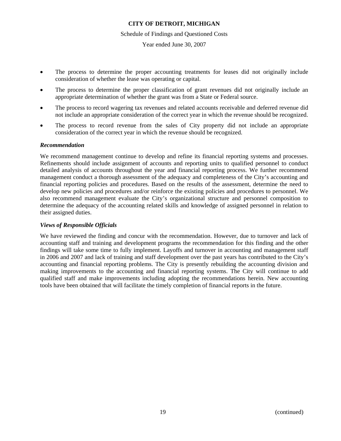### Schedule of Findings and Questioned Costs

Year ended June 30, 2007

- The process to determine the proper accounting treatments for leases did not originally include consideration of whether the lease was operating or capital.
- The process to determine the proper classification of grant revenues did not originally include an appropriate determination of whether the grant was from a State or Federal source.
- The process to record wagering tax revenues and related accounts receivable and deferred revenue did not include an appropriate consideration of the correct year in which the revenue should be recognized.
- The process to record revenue from the sales of City property did not include an appropriate consideration of the correct year in which the revenue should be recognized.

### *Recommendation*

We recommend management continue to develop and refine its financial reporting systems and processes. Refinements should include assignment of accounts and reporting units to qualified personnel to conduct detailed analysis of accounts throughout the year and financial reporting process. We further recommend management conduct a thorough assessment of the adequacy and completeness of the City's accounting and financial reporting policies and procedures. Based on the results of the assessment, determine the need to develop new policies and procedures and/or reinforce the existing policies and procedures to personnel. We also recommend management evaluate the City's organizational structure and personnel composition to determine the adequacy of the accounting related skills and knowledge of assigned personnel in relation to their assigned duties.

# *Views of Responsible Officials*

We have reviewed the finding and concur with the recommendation. However, due to turnover and lack of accounting staff and training and development programs the recommendation for this finding and the other findings will take some time to fully implement. Layoffs and turnover in accounting and management staff in 2006 and 2007 and lack of training and staff development over the past years has contributed to the City's accounting and financial reporting problems. The City is presently rebuilding the accounting division and making improvements to the accounting and financial reporting systems. The City will continue to add qualified staff and make improvements including adopting the recommendations herein. New accounting tools have been obtained that will facilitate the timely completion of financial reports in the future.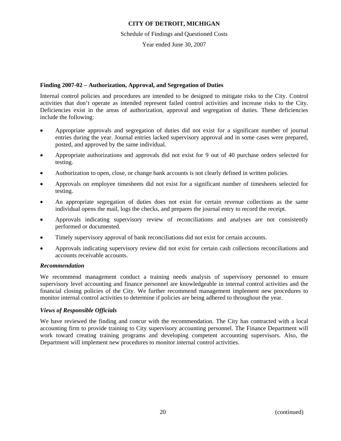### Schedule of Findings and Questioned Costs

Year ended June 30, 2007

# **Finding 2007-02 – Authorization, Approval, and Segregation of Duties**

Internal control policies and procedures are intended to be designed to mitigate risks to the City. Control activities that don't operate as intended represent failed control activities and increase risks to the City. Deficiencies exist in the areas of authorization, approval and segregation of duties. These deficiencies include the following:

- Appropriate approvals and segregation of duties did not exist for a significant number of journal entries during the year. Journal entries lacked supervisory approval and in some cases were prepared, posted, and approved by the same individual.
- Appropriate authorizations and approvals did not exist for 9 out of 40 purchase orders selected for testing.
- Authorization to open, close, or change bank accounts is not clearly defined in written policies.
- Approvals on employee timesheets did not exist for a significant number of timesheets selected for testing.
- An appropriate segregation of duties does not exist for certain revenue collections as the same individual opens the mail, logs the checks, and prepares the journal entry to record the receipt.
- Approvals indicating supervisory review of reconciliations and analyses are not consistently performed or documented.
- Timely supervisory approval of bank reconciliations did not exist for certain accounts.
- Approvals indicating supervisory review did not exist for certain cash collections reconciliations and accounts receivable accounts.

### *Recommendation*

We recommend management conduct a training needs analysis of supervisory personnel to ensure supervisory level accounting and finance personnel are knowledgeable in internal control activities and the financial closing policies of the City. We further recommend management implement new procedures to monitor internal control activities to determine if policies are being adhered to throughout the year.

# *Views of Responsible Officials*

We have reviewed the finding and concur with the recommendation. The City has contracted with a local accounting firm to provide training to City supervisory accounting personnel. The Finance Department will work toward creating training programs and developing competent accounting supervisors. Also, the Department will implement new procedures to monitor internal control activities.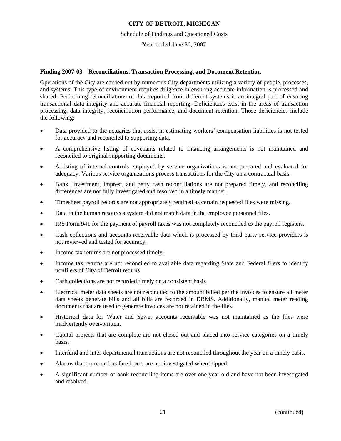Schedule of Findings and Questioned Costs

Year ended June 30, 2007

# **Finding 2007-03 – Reconciliations, Transaction Processing, and Document Retention**

Operations of the City are carried out by numerous City departments utilizing a variety of people, processes, and systems. This type of environment requires diligence in ensuring accurate information is processed and shared. Performing reconciliations of data reported from different systems is an integral part of ensuring transactional data integrity and accurate financial reporting. Deficiencies exist in the areas of transaction processing, data integrity, reconciliation performance, and document retention. Those deficiencies include the following:

- Data provided to the actuaries that assist in estimating workers' compensation liabilities is not tested for accuracy and reconciled to supporting data.
- A comprehensive listing of covenants related to financing arrangements is not maintained and reconciled to original supporting documents.
- A listing of internal controls employed by service organizations is not prepared and evaluated for adequacy. Various service organizations process transactions for the City on a contractual basis.
- Bank, investment, imprest, and petty cash reconciliations are not prepared timely, and reconciling differences are not fully investigated and resolved in a timely manner.
- Timesheet payroll records are not appropriately retained as certain requested files were missing.
- Data in the human resources system did not match data in the employee personnel files.
- IRS Form 941 for the payment of payroll taxes was not completely reconciled to the payroll registers.
- Cash collections and accounts receivable data which is processed by third party service providers is not reviewed and tested for accuracy.
- Income tax returns are not processed timely.
- Income tax returns are not reconciled to available data regarding State and Federal filers to identify nonfilers of City of Detroit returns.
- Cash collections are not recorded timely on a consistent basis.
- Electrical meter data sheets are not reconciled to the amount billed per the invoices to ensure all meter data sheets generate bills and all bills are recorded in DRMS. Additionally, manual meter reading documents that are used to generate invoices are not retained in the files.
- Historical data for Water and Sewer accounts receivable was not maintained as the files were inadvertently over-written.
- Capital projects that are complete are not closed out and placed into service categories on a timely basis.
- Interfund and inter-departmental transactions are not reconciled throughout the year on a timely basis.
- Alarms that occur on bus fare boxes are not investigated when tripped.
- A significant number of bank reconciling items are over one year old and have not been investigated and resolved.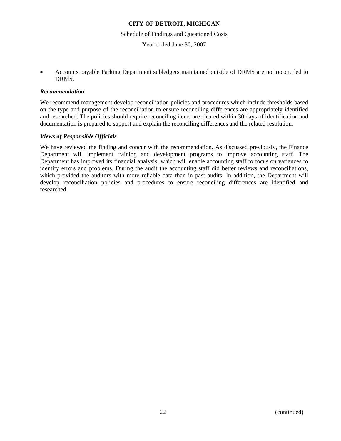Schedule of Findings and Questioned Costs

Year ended June 30, 2007

• Accounts payable Parking Department subledgers maintained outside of DRMS are not reconciled to DRMS.

## *Recommendation*

We recommend management develop reconciliation policies and procedures which include thresholds based on the type and purpose of the reconciliation to ensure reconciling differences are appropriately identified and researched. The policies should require reconciling items are cleared within 30 days of identification and documentation is prepared to support and explain the reconciling differences and the related resolution.

# *Views of Responsible Officials*

We have reviewed the finding and concur with the recommendation. As discussed previously, the Finance Department will implement training and development programs to improve accounting staff. The Department has improved its financial analysis, which will enable accounting staff to focus on variances to identify errors and problems. During the audit the accounting staff did better reviews and reconciliations, which provided the auditors with more reliable data than in past audits. In addition, the Department will develop reconciliation policies and procedures to ensure reconciling differences are identified and researched.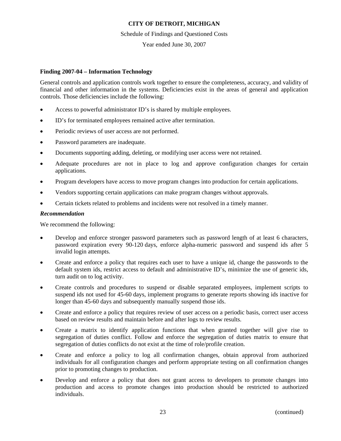### Schedule of Findings and Questioned Costs

# Year ended June 30, 2007

# **Finding 2007-04 – Information Technology**

General controls and application controls work together to ensure the completeness, accuracy, and validity of financial and other information in the systems. Deficiencies exist in the areas of general and application controls. Those deficiencies include the following:

- Access to powerful administrator ID's is shared by multiple employees.
- ID's for terminated employees remained active after termination.
- Periodic reviews of user access are not performed.
- Password parameters are inadequate.
- Documents supporting adding, deleting, or modifying user access were not retained.
- Adequate procedures are not in place to log and approve configuration changes for certain applications.
- Program developers have access to move program changes into production for certain applications.
- Vendors supporting certain applications can make program changes without approvals.
- Certain tickets related to problems and incidents were not resolved in a timely manner.

### *Recommendation*

We recommend the following:

- Develop and enforce stronger password parameters such as password length of at least 6 characters, password expiration every 90-120 days, enforce alpha-numeric password and suspend ids after 5 invalid login attempts.
- Create and enforce a policy that requires each user to have a unique id, change the passwords to the default system ids, restrict access to default and administrative ID's, minimize the use of generic ids, turn audit on to log activity.
- Create controls and procedures to suspend or disable separated employees, implement scripts to suspend ids not used for 45-60 days, implement programs to generate reports showing ids inactive for longer than 45-60 days and subsequently manually suspend those ids.
- Create and enforce a policy that requires review of user access on a periodic basis, correct user access based on review results and maintain before and after logs to review results.
- Create a matrix to identify application functions that when granted together will give rise to segregation of duties conflict. Follow and enforce the segregation of duties matrix to ensure that segregation of duties conflicts do not exist at the time of role/profile creation.
- Create and enforce a policy to log all confirmation changes, obtain approval from authorized individuals for all configuration changes and perform appropriate testing on all confirmation changes prior to promoting changes to production.
- Develop and enforce a policy that does not grant access to developers to promote changes into production and access to promote changes into production should be restricted to authorized individuals.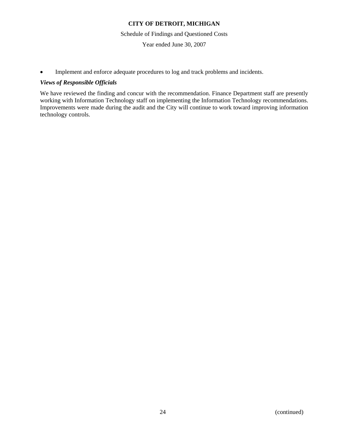Schedule of Findings and Questioned Costs

Year ended June 30, 2007

• Implement and enforce adequate procedures to log and track problems and incidents.

# *Views of Responsible Officials*

We have reviewed the finding and concur with the recommendation. Finance Department staff are presently working with Information Technology staff on implementing the Information Technology recommendations. Improvements were made during the audit and the City will continue to work toward improving information technology controls.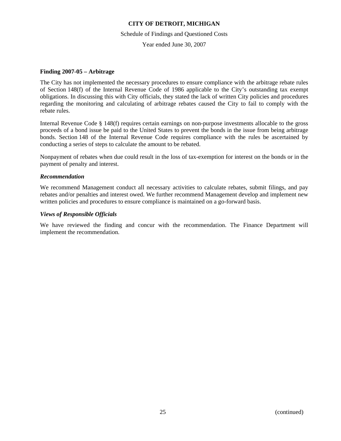Schedule of Findings and Questioned Costs

Year ended June 30, 2007

# **Finding 2007-05 – Arbitrage**

The City has not implemented the necessary procedures to ensure compliance with the arbitrage rebate rules of Section 148(f) of the Internal Revenue Code of 1986 applicable to the City's outstanding tax exempt obligations. In discussing this with City officials, they stated the lack of written City policies and procedures regarding the monitoring and calculating of arbitrage rebates caused the City to fail to comply with the rebate rules.

Internal Revenue Code § 148(f) requires certain earnings on non-purpose investments allocable to the gross proceeds of a bond issue be paid to the United States to prevent the bonds in the issue from being arbitrage bonds. Section 148 of the Internal Revenue Code requires compliance with the rules be ascertained by conducting a series of steps to calculate the amount to be rebated.

Nonpayment of rebates when due could result in the loss of tax-exemption for interest on the bonds or in the payment of penalty and interest.

### *Recommendation*

We recommend Management conduct all necessary activities to calculate rebates, submit filings, and pay rebates and/or penalties and interest owed. We further recommend Management develop and implement new written policies and procedures to ensure compliance is maintained on a go-forward basis.

# *Views of Responsible Officials*

We have reviewed the finding and concur with the recommendation. The Finance Department will implement the recommendation.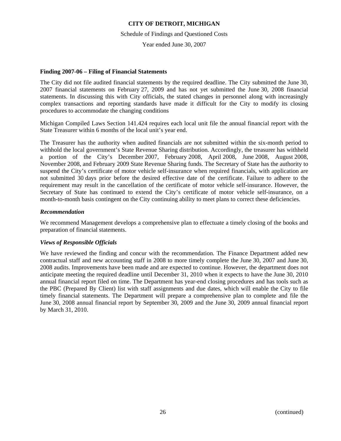Schedule of Findings and Questioned Costs

Year ended June 30, 2007

# **Finding 2007-06 – Filing of Financial Statements**

The City did not file audited financial statements by the required deadline. The City submitted the June 30, 2007 financial statements on February 27, 2009 and has not yet submitted the June 30, 2008 financial statements. In discussing this with City officials, the stated changes in personnel along with increasingly complex transactions and reporting standards have made it difficult for the City to modify its closing procedures to accommodate the changing conditions

Michigan Compiled Laws Section 141.424 requires each local unit file the annual financial report with the State Treasurer within 6 months of the local unit's year end.

The Treasurer has the authority when audited financials are not submitted within the six-month period to withhold the local government's State Revenue Sharing distribution. Accordingly, the treasurer has withheld a portion of the City's December 2007, February 2008, April 2008, June 2008, August 2008, November 2008, and February 2009 State Revenue Sharing funds. The Secretary of State has the authority to suspend the City's certificate of motor vehicle self-insurance when required financials, with application are not submitted 30 days prior before the desired effective date of the certificate. Failure to adhere to the requirement may result in the cancellation of the certificate of motor vehicle self-insurance. However, the Secretary of State has continued to extend the City's certificate of motor vehicle self-insurance, on a month-to-month basis contingent on the City continuing ability to meet plans to correct these deficiencies.

# *Recommendation*

We recommend Management develops a comprehensive plan to effectuate a timely closing of the books and preparation of financial statements.

### *Views of Responsible Officials*

We have reviewed the finding and concur with the recommendation. The Finance Department added new contractual staff and new accounting staff in 2008 to more timely complete the June 30, 2007 and June 30, 2008 audits. Improvements have been made and are expected to continue. However, the department does not anticipate meeting the required deadline until December 31, 2010 when it expects to have the June 30, 2010 annual financial report filed on time. The Department has year-end closing procedures and has tools such as the PBC (Prepared By Client) list with staff assignments and due dates, which will enable the City to file timely financial statements. The Department will prepare a comprehensive plan to complete and file the June 30, 2008 annual financial report by September 30, 2009 and the June 30, 2009 annual financial report by March 31, 2010.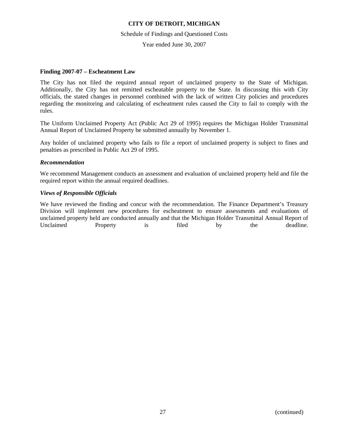### Schedule of Findings and Questioned Costs

Year ended June 30, 2007

### **Finding 2007-07 – Escheatment Law**

The City has not filed the required annual report of unclaimed property to the State of Michigan. Additionally, the City has not remitted escheatable property to the State. In discussing this with City officials, the stated changes in personnel combined with the lack of written City policies and procedures regarding the monitoring and calculating of escheatment rules caused the City to fail to comply with the rules.

The Uniform Unclaimed Property Act (Public Act 29 of 1995) requires the Michigan Holder Transmittal Annual Report of Unclaimed Property be submitted annually by November 1.

Any holder of unclaimed property who fails to file a report of unclaimed property is subject to fines and penalties as prescribed in Public Act 29 of 1995.

# *Recommendation*

We recommend Management conducts an assessment and evaluation of unclaimed property held and file the required report within the annual required deadlines.

# *Views of Responsible Officials*

We have reviewed the finding and concur with the recommendation. The Finance Department's Treasury Division will implement new procedures for escheatment to ensure assessments and evaluations of unclaimed property held are conducted annually and that the Michigan Holder Transmittal Annual Report of Unclaimed Property is filed by the deadline.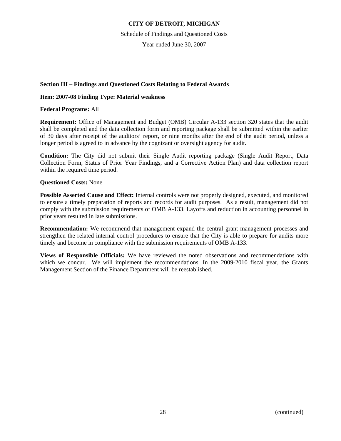Schedule of Findings and Questioned Costs

Year ended June 30, 2007

# **Section III – Findings and Questioned Costs Relating to Federal Awards**

# **Item: 2007-08 Finding Type: Material weakness**

**Federal Programs:** All

**Requirement:** Office of Management and Budget (OMB) Circular A-133 section 320 states that the audit shall be completed and the data collection form and reporting package shall be submitted within the earlier of 30 days after receipt of the auditors' report, or nine months after the end of the audit period, unless a longer period is agreed to in advance by the cognizant or oversight agency for audit.

**Condition:** The City did not submit their Single Audit reporting package (Single Audit Report, Data Collection Form, Status of Prior Year Findings, and a Corrective Action Plan) and data collection report within the required time period.

# **Questioned Costs:** None

**Possible Asserted Cause and Effect:** Internal controls were not properly designed, executed, and monitored to ensure a timely preparation of reports and records for audit purposes. As a result, management did not comply with the submission requirements of OMB A-133. Layoffs and reduction in accounting personnel in prior years resulted in late submissions.

**Recommendation:** We recommend that management expand the central grant management processes and strengthen the related internal control procedures to ensure that the City is able to prepare for audits more timely and become in compliance with the submission requirements of OMB A-133.

**Views of Responsible Officials:** We have reviewed the noted observations and recommendations with which we concur. We will implement the recommendations. In the 2009-2010 fiscal year, the Grants Management Section of the Finance Department will be reestablished.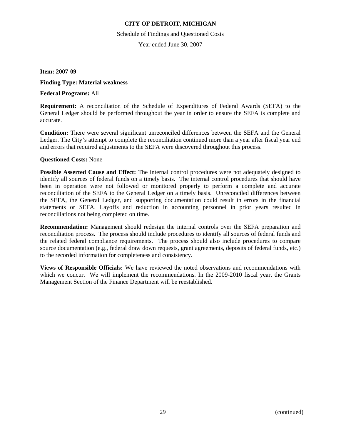Schedule of Findings and Questioned Costs

Year ended June 30, 2007

**Item: 2007-09** 

**Finding Type: Material weakness** 

**Federal Programs:** All

**Requirement:** A reconciliation of the Schedule of Expenditures of Federal Awards (SEFA) to the General Ledger should be performed throughout the year in order to ensure the SEFA is complete and accurate.

**Condition:** There were several significant unreconciled differences between the SEFA and the General Ledger. The City's attempt to complete the reconciliation continued more than a year after fiscal year end and errors that required adjustments to the SEFA were discovered throughout this process.

# **Questioned Costs:** None

**Possible Asserted Cause and Effect:** The internal control procedures were not adequately designed to identify all sources of federal funds on a timely basis. The internal control procedures that should have been in operation were not followed or monitored properly to perform a complete and accurate reconciliation of the SEFA to the General Ledger on a timely basis. Unreconciled differences between the SEFA, the General Ledger, and supporting documentation could result in errors in the financial statements or SEFA. Layoffs and reduction in accounting personnel in prior years resulted in reconciliations not being completed on time.

**Recommendation:** Management should redesign the internal controls over the SEFA preparation and reconciliation process. The process should include procedures to identify all sources of federal funds and the related federal compliance requirements. The process should also include procedures to compare source documentation (e.g., federal draw down requests, grant agreements, deposits of federal funds, etc.) to the recorded information for completeness and consistency.

**Views of Responsible Officials:** We have reviewed the noted observations and recommendations with which we concur. We will implement the recommendations. In the 2009-2010 fiscal year, the Grants Management Section of the Finance Department will be reestablished.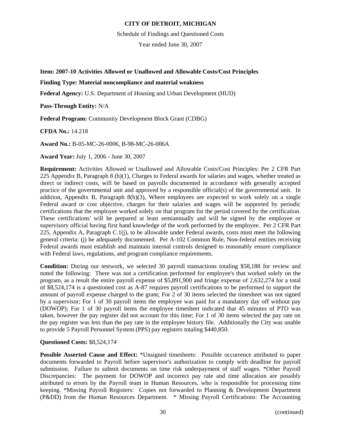Schedule of Findings and Questioned Costs

Year ended June 30, 2007

**Item: 2007-10 Activities Allowed or Unallowed and Allowable Costs/Cost Principles** 

# **Finding Type: Material noncompliance and material weakness**

**Federal Agency:** U.S. Department of Housing and Urban Development (HUD)

**Pass-Through Entity:** N/A

**Federal Program:** Community Development Block Grant (CDBG)

**CFDA No.:** 14.218

**Award No.:** B-05-MC-26-0006, B-98-MC-26-006A

**Award Year:** July 1, 2006 - June 30, 2007

**Requirement:** Activities Allowed or Unallowed and Allowable Costs/Cost Principles: Per 2 CFR Part 225 Appendix B, Paragraph 8 (h)(1), Charges to Federal awards for salaries and wages, whether treated as direct or indirect costs, will be based on payrolls documented in accordance with generally accepted practice of the governmental unit and approved by a responsible official(s) of the governmental unit. In addition, Appendix B, Paragraph 8(h)(3), Where employees are expected to work solely on a single Federal award or cost objective, charges for their salaries and wages will be supported by periodic certifications that the employee worked solely on that program for the period covered by the certification. These certifications' will be prepared at least semiannually and will be signed by the employee or supervisory official having first hand knowledge of the work performed by the employee. Per 2 CFR Part 225, Appendix A, Paragraph  $C_1(i)$ , to be allowable under Federal awards, costs must meet the following general criteria: (j) be adequately documented. Per A-102 Common Rule, Non-federal entities receiving Federal awards must establish and maintain internal controls designed to reasonably ensure compliance with Federal laws, regulations, and program compliance requirements.

**Condition:** During our testwork, we selected 30 payroll transactions totaling \$58,188 for review and noted the following: There was not a certification performed for employee's that worked solely on the program, as a result the entire payroll expense of \$5,891,900 and fringe expense of 2,632,274 for a total of \$8,524,174 is a questioned cost as A-87 requires payroll certifications to be performed to support the amount of payroll expense charged to the grant; For 2 of 30 items selected the timesheet was not signed by a supervisor; For 1 of 30 payroll items the employee was paid for a mandatory day off without pay (DOWOP); For 1 of 30 payroll items the employee timesheet indicated that 45 minutes of PTO was taken, however the pay register did not account for this time; For 1 of 30 items selected the pay rate on the pay register was less than the pay rate in the employee history file. Additionally the City was unable to provide 5 Payroll Personnel System (PPS) pay registers totaling \$440,850.

# **Questioned Costs:** \$8,524,174

**Possible Asserted Cause and Effect:** \*Unsigned timesheets: Possible occurrence attributed to paper documents forwarded to Payroll before supervisor's authorization to comply with deadline for payroll submission. Failure to submit documents on time risk underpayment of staff wages. \*Other Payroll Discrepancies: The payment for DOWOP and incorrect pay rate and time allocation are possibly attributed to errors by the Payroll team in Human Resources, who is responsible for processing time keeping. \*Missing Payroll Registers: Copies not forwarded to Planning & Development Department (P&DD) from the Human Resources Department. \* Missing Payroll Certifications: The Accounting

30 (continued)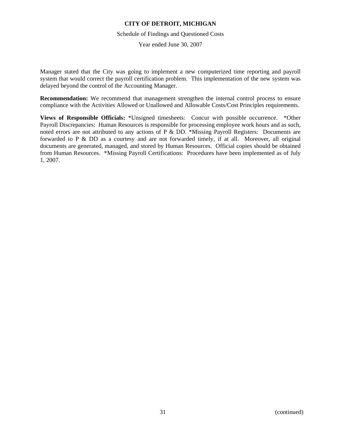### Schedule of Findings and Questioned Costs

Year ended June 30, 2007

Manager stated that the City was going to implement a new computerized time reporting and payroll system that would correct the payroll certification problem. This implementation of the new system was delayed beyond the control of the Accounting Manager.

**Recommendation:** We recommend that management strengthen the internal control process to ensure compliance with the Activities Allowed or Unallowed and Allowable Costs/Cost Principles requirements.

**Views of Responsible Officials:** \*Unsigned timesheets: Concur with possible occurrence. \*Other Payroll Discrepancies: Human Resources is responsible for processing employee work hours and as such, noted errors are not attributed to any actions of P & DD. \*Missing Payroll Registers: Documents are forwarded to P & DD as a courtesy and are not forwarded timely, if at all. Moreover, all original documents are generated, managed, and stored by Human Resources. Official copies should be obtained from Human Resources. \*Missing Payroll Certifications: Procedures have been implemented as of July 1, 2007.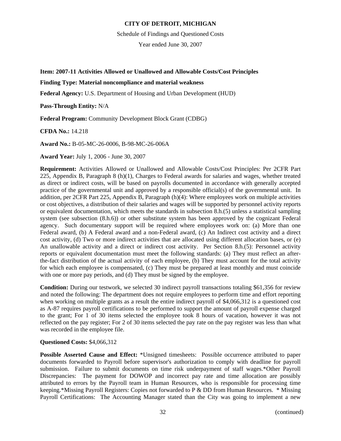Schedule of Findings and Questioned Costs

Year ended June 30, 2007

**Item: 2007-11 Activities Allowed or Unallowed and Allowable Costs/Cost Principles** 

# **Finding Type: Material noncompliance and material weakness**

**Federal Agency:** U.S. Department of Housing and Urban Development (HUD)

**Pass-Through Entity:** N/A

**Federal Program:** Community Development Block Grant (CDBG)

**CFDA No.:** 14.218

**Award No.:** B-05-MC-26-0006, B-98-MC-26-006A

**Award Year:** July 1, 2006 - June 30, 2007

**Requirement:** Activities Allowed or Unallowed and Allowable Costs/Cost Principles: Per 2CFR Part 225, Appendix B, Paragraph 8 (h)(1), Charges to Federal awards for salaries and wages, whether treated as direct or indirect costs, will be based on payrolls documented in accordance with generally accepted practice of the governmental unit and approved by a responsible official(s) of the governmental unit. In addition, per 2CFR Part 225, Appendix B, Paragraph (h)(4): Where employees work on multiple activities or cost objectives, a distribution of their salaries and wages will be supported by personnel activity reports or equivalent documentation, which meets the standards in subsection 8.h.(5) unless a statistical sampling system (see subsection (8.h.6)) or other substitute system has been approved by the cognizant Federal agency. Such documentary support will be required where employees work on: (a) More than one Federal award, (b) A Federal award and a non-Federal award, (c) An Indirect cost activity and a direct cost activity, (d) Two or more indirect activities that are allocated using different allocation bases, or (e) An unallowable activity and a direct or indirect cost activity. Per Section 8.h.(5): Personnel activity reports or equivalent documentation must meet the following standards: (a) They must reflect an afterthe-fact distribution of the actual activity of each employee, (b) They must account for the total activity for which each employee is compensated, (c) They must be prepared at least monthly and must coincide with one or more pay periods, and (d) They must be signed by the employee.

**Condition:** During our testwork, we selected 30 indirect payroll transactions totaling \$61,356 for review and noted the following: The department does not require employees to perform time and effort reporting when working on multiple grants as a result the entire indirect payroll of \$4,066,312 is a questioned cost as A-87 requires payroll certifications to be performed to support the amount of payroll expense charged to the grant; For 1 of 30 items selected the employee took 8 hours of vacation, however it was not reflected on the pay register; For 2 of 30 items selected the pay rate on the pay register was less than what was recorded in the employee file.

# **Questioned Costs:** \$4,066,312

**Possible Asserted Cause and Effect:** \*Unsigned timesheets: Possible occurrence attributed to paper documents forwarded to Payroll before supervisor's authorization to comply with deadline for payroll submission. Failure to submit documents on time risk underpayment of staff wages.\*Other Payroll Discrepancies: The payment for DOWOP and incorrect pay rate and time allocation are possibly attributed to errors by the Payroll team in Human Resources, who is responsible for processing time keeping.\*Missing Payroll Registers: Copies not forwarded to P & DD from Human Resources. \* Missing Payroll Certifications: The Accounting Manager stated than the City was going to implement a new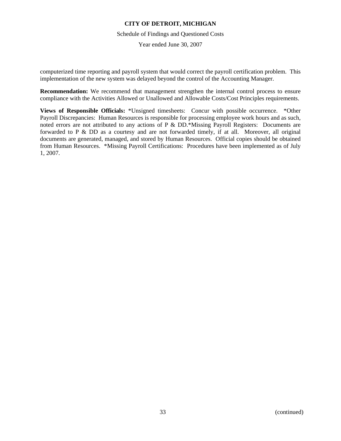# Schedule of Findings and Questioned Costs

Year ended June 30, 2007

computerized time reporting and payroll system that would correct the payroll certification problem. This implementation of the new system was delayed beyond the control of the Accounting Manager.

**Recommendation:** We recommend that management strengthen the internal control process to ensure compliance with the Activities Allowed or Unallowed and Allowable Costs/Cost Principles requirements.

**Views of Responsible Officials:** \*Unsigned timesheets: Concur with possible occurrence. \*Other Payroll Discrepancies: Human Resources is responsible for processing employee work hours and as such, noted errors are not attributed to any actions of P & DD.\*Missing Payroll Registers: Documents are forwarded to P & DD as a courtesy and are not forwarded timely, if at all. Moreover, all original documents are generated, managed, and stored by Human Resources. Official copies should be obtained from Human Resources. \*Missing Payroll Certifications: Procedures have been implemented as of July 1, 2007.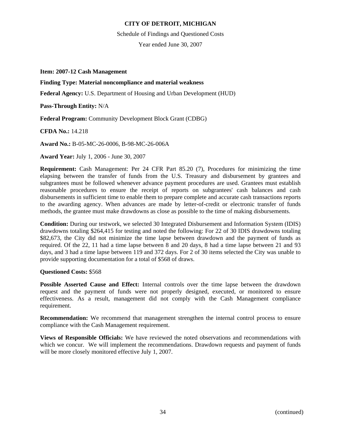Schedule of Findings and Questioned Costs

Year ended June 30, 2007

**Item: 2007-12 Cash Management** 

# **Finding Type: Material noncompliance and material weakness**

**Federal Agency:** U.S. Department of Housing and Urban Development (HUD)

**Pass-Through Entity:** N/A

**Federal Program:** Community Development Block Grant (CDBG)

**CFDA No.:** 14.218

**Award No.:** B-05-MC-26-0006, B-98-MC-26-006A

**Award Year:** July 1, 2006 - June 30, 2007

**Requirement:** Cash Management: Per 24 CFR Part 85.20 (7), Procedures for minimizing the time elapsing between the transfer of funds from the U.S. Treasury and disbursement by grantees and subgrantees must be followed whenever advance payment procedures are used. Grantees must establish reasonable procedures to ensure the receipt of reports on subgrantees' cash balances and cash disbursements in sufficient time to enable them to prepare complete and accurate cash transactions reports to the awarding agency. When advances are made by letter-of-credit or electronic transfer of funds methods, the grantee must make drawdowns as close as possible to the time of making disbursements.

**Condition:** During our testwork, we selected 30 Integrated Disbursement and Information System (IDIS) drawdowns totaling \$264,415 for testing and noted the following: For 22 of 30 IDIS drawdowns totaling \$82,673, the City did not minimize the time lapse between drawdown and the payment of funds as required. Of the 22, 11 had a time lapse between 8 and 20 days, 8 had a time lapse between 21 and 93 days, and 3 had a time lapse between 119 and 372 days. For 2 of 30 items selected the City was unable to provide supporting documentation for a total of \$568 of draws.

### **Questioned Costs:** \$568

**Possible Asserted Cause and Effect:** Internal controls over the time lapse between the drawdown request and the payment of funds were not properly designed, executed, or monitored to ensure effectiveness. As a result, management did not comply with the Cash Management compliance requirement.

**Recommendation:** We recommend that management strengthen the internal control process to ensure compliance with the Cash Management requirement.

**Views of Responsible Officials:** We have reviewed the noted observations and recommendations with which we concur. We will implement the recommendations. Drawdown requests and payment of funds will be more closely monitored effective July 1, 2007.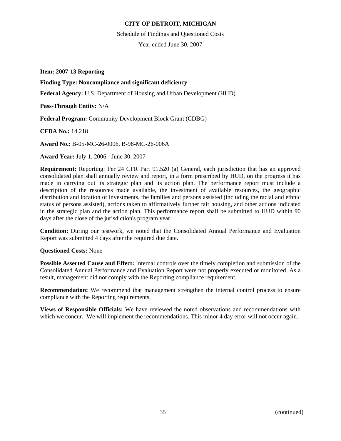Schedule of Findings and Questioned Costs

Year ended June 30, 2007

**Item: 2007-13 Reporting** 

# **Finding Type: Noncompliance and significant deficiency**

**Federal Agency:** U.S. Department of Housing and Urban Development (HUD)

**Pass-Through Entity:** N/A

**Federal Program:** Community Development Block Grant (CDBG)

**CFDA No.:** 14.218

**Award No.:** B-05-MC-26-0006, B-98-MC-26-006A

**Award Year:** July 1, 2006 - June 30, 2007

**Requirement:** Reporting: Per 24 CFR Part 91.520 (a) General, each jurisdiction that has an approved consolidated plan shall annually review and report, in a form prescribed by HUD, on the progress it has made in carrying out its strategic plan and its action plan. The performance report must include a description of the resources made available, the investment of available resources, the geographic distribution and location of investments, the families and persons assisted (including the racial and ethnic status of persons assisted), actions taken to affirmatively further fair housing, and other actions indicated in the strategic plan and the action plan. This performance report shall be submitted to HUD within 90 days after the close of the jurisdiction's program year.

**Condition:** During our testwork, we noted that the Consolidated Annual Performance and Evaluation Report was submitted 4 days after the required due date.

### **Questioned Costs:** None

**Possible Asserted Cause and Effect:** Internal controls over the timely completion and submission of the Consolidated Annual Performance and Evaluation Report were not properly executed or monitored. As a result, management did not comply with the Reporting compliance requirement.

**Recommendation:** We recommend that management strengthen the internal control process to ensure compliance with the Reporting requirements.

**Views of Responsible Officials:** We have reviewed the noted observations and recommendations with which we concur. We will implement the recommendations. This minor 4 day error will not occur again.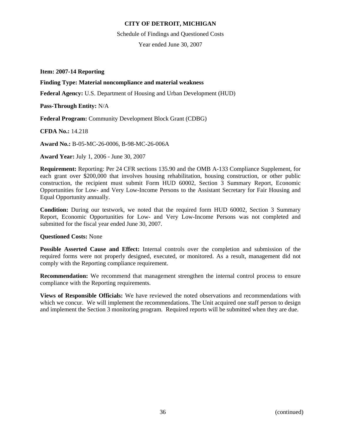Schedule of Findings and Questioned Costs

Year ended June 30, 2007

**Item: 2007-14 Reporting** 

### **Finding Type: Material noncompliance and material weakness**

**Federal Agency:** U.S. Department of Housing and Urban Development (HUD)

**Pass-Through Entity:** N/A

**Federal Program:** Community Development Block Grant (CDBG)

**CFDA No.:** 14.218

**Award No.:** B-05-MC-26-0006, B-98-MC-26-006A

**Award Year:** July 1, 2006 - June 30, 2007

**Requirement:** Reporting: Per 24 CFR sections 135.90 and the OMB A-133 Compliance Supplement, for each grant over \$200,000 that involves housing rehabilitation, housing construction, or other public construction, the recipient must submit Form HUD 60002, Section 3 Summary Report, Economic Opportunities for Low- and Very Low-Income Persons to the Assistant Secretary for Fair Housing and Equal Opportunity annually.

**Condition:** During our testwork, we noted that the required form HUD 60002, Section 3 Summary Report, Economic Opportunities for Low- and Very Low-Income Persons was not completed and submitted for the fiscal year ended June 30, 2007.

### **Questioned Costs:** None

**Possible Asserted Cause and Effect:** Internal controls over the completion and submission of the required forms were not properly designed, executed, or monitored. As a result, management did not comply with the Reporting compliance requirement.

**Recommendation:** We recommend that management strengthen the internal control process to ensure compliance with the Reporting requirements.

**Views of Responsible Officials:** We have reviewed the noted observations and recommendations with which we concur. We will implement the recommendations. The Unit acquired one staff person to design and implement the Section 3 monitoring program. Required reports will be submitted when they are due.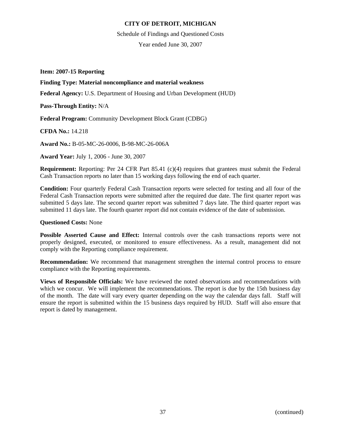Schedule of Findings and Questioned Costs

Year ended June 30, 2007

**Item: 2007-15 Reporting** 

### **Finding Type: Material noncompliance and material weakness**

**Federal Agency:** U.S. Department of Housing and Urban Development (HUD)

**Pass-Through Entity:** N/A

**Federal Program:** Community Development Block Grant (CDBG)

**CFDA No.:** 14.218

**Award No.:** B-05-MC-26-0006, B-98-MC-26-006A

**Award Year:** July 1, 2006 - June 30, 2007

**Requirement:** Reporting: Per 24 CFR Part 85.41 (c)(4) requires that grantees must submit the Federal Cash Transaction reports no later than 15 working days following the end of each quarter.

**Condition:** Four quarterly Federal Cash Transaction reports were selected for testing and all four of the Federal Cash Transaction reports were submitted after the required due date. The first quarter report was submitted 5 days late. The second quarter report was submitted 7 days late. The third quarter report was submitted 11 days late. The fourth quarter report did not contain evidence of the date of submission.

### **Questioned Costs:** None

**Possible Asserted Cause and Effect:** Internal controls over the cash transactions reports were not properly designed, executed, or monitored to ensure effectiveness. As a result, management did not comply with the Reporting compliance requirement.

**Recommendation:** We recommend that management strengthen the internal control process to ensure compliance with the Reporting requirements.

**Views of Responsible Officials:** We have reviewed the noted observations and recommendations with which we concur. We will implement the recommendations. The report is due by the 15th business day of the month. The date will vary every quarter depending on the way the calendar days fall. Staff will ensure the report is submitted within the 15 business days required by HUD. Staff will also ensure that report is dated by management.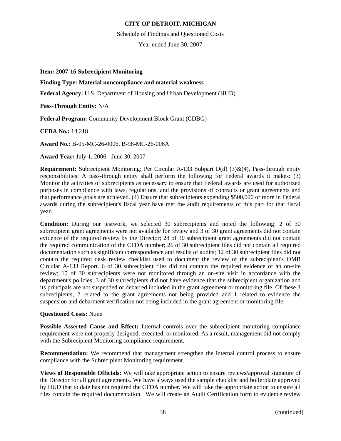#### Schedule of Findings and Questioned Costs

Year ended June 30, 2007

### **Item: 2007-16 Subrecipient Monitoring**

## **Finding Type: Material noncompliance and material weakness**

**Federal Agency:** U.S. Department of Housing and Urban Development (HUD)

**Pass-Through Entity:** N/A

**Federal Program:** Community Development Block Grant (CDBG)

**CFDA No.:** 14.218

**Award No.:** B-05-MC-26-0006, B-98-MC-26-006A

**Award Year:** July 1, 2006 - June 30, 2007

**Requirement:** Subrecipient Monitoring: Per Circular A-133 Subpart D(d) (3)&(4), Pass-through entity responsibilities: A pass-through entity shall perform the following for Federal awards it makes: (3) Monitor the activities of subrecipients as necessary to ensure that Federal awards are used for authorized purposes in compliance with laws, regulations, and the provisions of contracts or grant agreements and that performance goals are achieved. (4) Ensure that subrecipients expending \$500,000 or more in Federal awards during the subrecipient's fiscal year have met the audit requirements of this part for that fiscal year.

**Condition:** During our testwork, we selected 30 subrecipients and noted the following: 2 of 30 subrecipient grant agreements were not available for review and 3 of 30 grant agreements did not contain evidence of the required review by the Director; 28 of 30 subrecipient grant agreements did not contain the required communication of the CFDA number; 26 of 30 subrecipient files did not contain all required documentation such as significant correspondence and results of audits; 12 of 30 subrecipient files did not contain the required desk review checklist used to document the review of the subrecipient's OMB Circular A-133 Report. 6 of 30 subrecipient files did not contain the required evidence of an on-site review; 10 of 30 subrecipients were not monitored through an on-site visit in accordance with the department's policies; 3 of 30 subrecipients did not have evidence that the subrecipient organization and its principals are not suspended or debarred included in the grant agreement or monitoring file. Of these 3 subrecipients, 2 related to the grant agreements not being provided and 1 related to evidence the suspension and debarment verification not being included in the grant agreement or monitoring file.

### **Questioned Costs:** None

**Possible Asserted Cause and Effect:** Internal controls over the subrecipient monitoring compliance requirement were not properly designed, executed, or monitored. As a result, management did not comply with the Subrecipient Monitoring compliance requirement.

**Recommendation:** We recommend that management strengthen the internal control process to ensure compliance with the Subrecipient Monitoring requirement.

**Views of Responsible Officials:** We will take appropriate action to ensure reviews/approval signature of the Director for all grant agreements. We have always used the sample checklist and boilerplate approved by HUD that to date has not required the CFDA number. We will take the appropriate action to ensure all files contain the required documentation. We will create an Audit Certification form to evidence review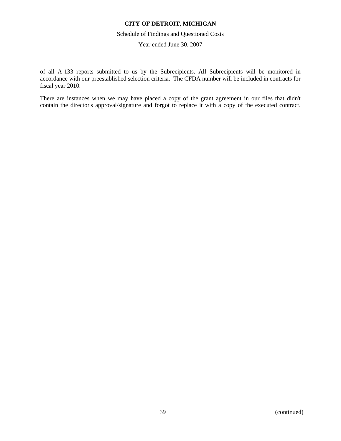#### Schedule of Findings and Questioned Costs

Year ended June 30, 2007

of all A-133 reports submitted to us by the Subrecipients. All Subrecipients will be monitored in accordance with our preestablished selection criteria. The CFDA number will be included in contracts for fiscal year 2010.

There are instances when we may have placed a copy of the grant agreement in our files that didn't contain the director's approval/signature and forgot to replace it with a copy of the executed contract.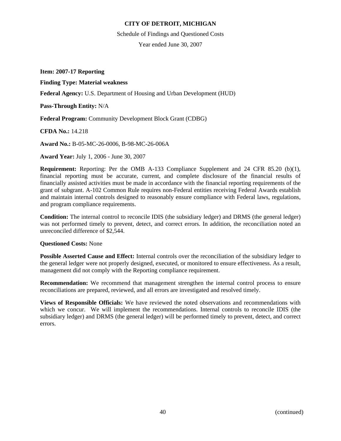Schedule of Findings and Questioned Costs

Year ended June 30, 2007

**Item: 2007-17 Reporting** 

**Finding Type: Material weakness** 

**Federal Agency:** U.S. Department of Housing and Urban Development (HUD)

**Pass-Through Entity:** N/A

**Federal Program:** Community Development Block Grant (CDBG)

**CFDA No.:** 14.218

**Award No.:** B-05-MC-26-0006, B-98-MC-26-006A

**Award Year:** July 1, 2006 - June 30, 2007

**Requirement:** Reporting: Per the OMB A-133 Compliance Supplement and 24 CFR 85.20 (b)(1), financial reporting must be accurate, current, and complete disclosure of the financial results of financially assisted activities must be made in accordance with the financial reporting requirements of the grant of subgrant. A-102 Common Rule requires non-Federal entities receiving Federal Awards establish and maintain internal controls designed to reasonably ensure compliance with Federal laws, regulations, and program compliance requirements.

**Condition:** The internal control to reconcile IDIS (the subsidiary ledger) and DRMS (the general ledger) was not performed timely to prevent, detect, and correct errors. In addition, the reconciliation noted an unreconciled difference of \$2,544.

### **Questioned Costs:** None

**Possible Asserted Cause and Effect:** Internal controls over the reconciliation of the subsidiary ledger to the general ledger were not properly designed, executed, or monitored to ensure effectiveness. As a result, management did not comply with the Reporting compliance requirement.

**Recommendation:** We recommend that management strengthen the internal control process to ensure reconciliations are prepared, reviewed, and all errors are investigated and resolved timely.

**Views of Responsible Officials:** We have reviewed the noted observations and recommendations with which we concur. We will implement the recommendations. Internal controls to reconcile IDIS (the subsidiary ledger) and DRMS (the general ledger) will be performed timely to prevent, detect, and correct errors.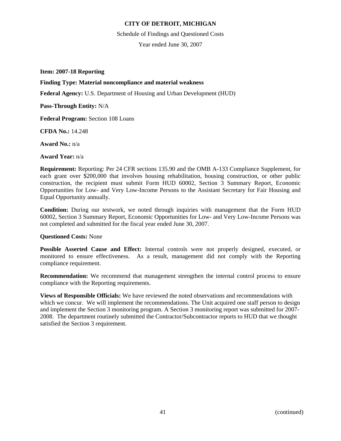Schedule of Findings and Questioned Costs

Year ended June 30, 2007

**Item: 2007-18 Reporting** 

### **Finding Type: Material noncompliance and material weakness**

**Federal Agency:** U.S. Department of Housing and Urban Development (HUD)

**Pass-Through Entity:** N/A

**Federal Program:** Section 108 Loans

**CFDA No.:** 14.248

**Award No.:** n/a

**Award Year:** n/a

**Requirement:** Reporting: Per 24 CFR sections 135.90 and the OMB A-133 Compliance Supplement, for each grant over \$200,000 that involves housing rehabilitation, housing construction, or other public construction, the recipient must submit Form HUD 60002, Section 3 Summary Report, Economic Opportunities for Low- and Very Low-Income Persons to the Assistant Secretary for Fair Housing and Equal Opportunity annually.

**Condition:** During our testwork, we noted through inquiries with management that the Form HUD 60002, Section 3 Summary Report, Economic Opportunities for Low- and Very Low-Income Persons was not completed and submitted for the fiscal year ended June 30, 2007.

### **Questioned Costs:** None

**Possible Asserted Cause and Effect:** Internal controls were not properly designed, executed, or monitored to ensure effectiveness. As a result, management did not comply with the Reporting compliance requirement.

**Recommendation:** We recommend that management strengthen the internal control process to ensure compliance with the Reporting requirements.

**Views of Responsible Officials:** We have reviewed the noted observations and recommendations with which we concur. We will implement the recommendations. The Unit acquired one staff person to design and implement the Section 3 monitoring program. A Section 3 monitoring report was submitted for 2007- 2008. The department routinely submitted the Contractor/Subcontractor reports to HUD that we thought satisfied the Section 3 requirement.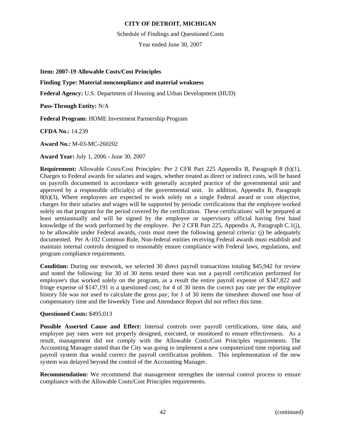Schedule of Findings and Questioned Costs

Year ended June 30, 2007

**Item: 2007-19 Allowable Costs/Cost Principles** 

## **Finding Type: Material noncompliance and material weakness**

**Federal Agency:** U.S. Department of Housing and Urban Development (HUD)

**Pass-Through Entity:** N/A

**Federal Program:** HOME Investment Partnership Program

**CFDA No.:** 14.239

**Award No.:** M-03-MC-260202

**Award Year:** July 1, 2006 - June 30, 2007

**Requirement:** Allowable Costs/Cost Principles: Per 2 CFR Part 225 Appendix B, Paragraph 8 (h)(1), Charges to Federal awards for salaries and wages, whether treated as direct or indirect costs, will be based on payrolls documented in accordance with generally accepted practice of the governmental unit and approved by a responsible official(s) of the governmental unit. In addition, Appendix B, Paragraph 8(h)(3), Where employees are expected to work solely on a single Federal award or cost objective, charges for their salaries and wages will be supported by periodic certifications that the employee worked solely on that program for the period covered by the certification. These certifications' will be prepared at least semiannually and will be signed by the employee or supervisory official having first hand knowledge of the work performed by the employee. Per 2 CFR Part 225, Appendix A, Paragraph C.1(j), to be allowable under Federal awards, costs must meet the following general criteria: (j) be adequately documented. Per A-102 Common Rule, Non-federal entities receiving Federal awards must establish and maintain internal controls designed to reasonably ensure compliance with Federal laws, regulations, and program compliance requirements.

**Condition:** During our testwork, we selected 30 direct payroll transactions totaling \$45,942 for review and noted the following: for 30 of 30 items tested there was not a payroll certification performed for employee's that worked solely on the program, as a result the entire payroll expense of \$347,822 and fringe expense of \$147,191 is a questioned cost; for 4 of 30 items the correct pay rate per the employee history file was not used to calculate the gross pay; for 1 of 30 items the timesheet showed one hour of compensatory time and the biweekly Time and Attendance Report did not reflect this time.

### **Questioned Costs:** \$495,013

**Possible Asserted Cause and Effect:** Internal controls over payroll certifications, time data, and employee pay rates were not properly designed, executed, or monitored to ensure effectiveness. As a result, management did not comply with the Allowable Costs/Cost Principles requirements. The Accounting Manager stated than the City was going to implement a new computerized time reporting and payroll system that would correct the payroll certification problem. This implementation of the new system was delayed beyond the control of the Accounting Manager.

**Recommendation:** We recommend that management strengthen the internal control process to ensure compliance with the Allowable Costs/Cost Principles requirements.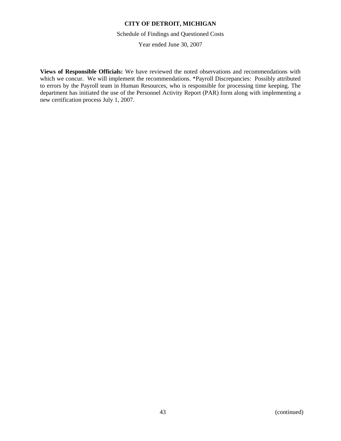Schedule of Findings and Questioned Costs

Year ended June 30, 2007

**Views of Responsible Officials:** We have reviewed the noted observations and recommendations with which we concur. We will implement the recommendations. \*Payroll Discrepancies: Possibly attributed to errors by the Payroll team in Human Resources, who is responsible for processing time keeping. The department has initiated the use of the Personnel Activity Report (PAR) form along with implementing a new certification process July 1, 2007.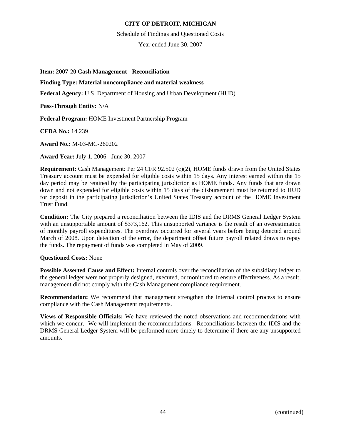### Schedule of Findings and Questioned Costs

Year ended June 30, 2007

**Item: 2007-20 Cash Management - Reconciliation** 

## **Finding Type: Material noncompliance and material weakness**

**Federal Agency:** U.S. Department of Housing and Urban Development (HUD)

**Pass-Through Entity:** N/A

**Federal Program:** HOME Investment Partnership Program

**CFDA No.:** 14.239

**Award No.:** M-03-MC-260202

**Award Year:** July 1, 2006 - June 30, 2007

**Requirement:** Cash Management: Per 24 CFR 92.502 (c)(2), HOME funds drawn from the United States Treasury account must be expended for eligible costs within 15 days. Any interest earned within the 15 day period may be retained by the participating jurisdiction as HOME funds. Any funds that are drawn down and not expended for eligible costs within 15 days of the disbursement must be returned to HUD for deposit in the participating jurisdiction's United States Treasury account of the HOME Investment Trust Fund.

**Condition:** The City prepared a reconciliation between the IDIS and the DRMS General Ledger System with an unsupportable amount of \$373,162. This unsupported variance is the result of an overestimation of monthly payroll expenditures. The overdraw occurred for several years before being detected around March of 2008. Upon detection of the error, the department offset future payroll related draws to repay the funds. The repayment of funds was completed in May of 2009.

### **Questioned Costs:** None

**Possible Asserted Cause and Effect:** Internal controls over the reconciliation of the subsidiary ledger to the general ledger were not properly designed, executed, or monitored to ensure effectiveness. As a result, management did not comply with the Cash Management compliance requirement.

**Recommendation:** We recommend that management strengthen the internal control process to ensure compliance with the Cash Management requirements.

**Views of Responsible Officials:** We have reviewed the noted observations and recommendations with which we concur. We will implement the recommendations. Reconciliations between the IDIS and the DRMS General Ledger System will be performed more timely to determine if there are any unsupported amounts.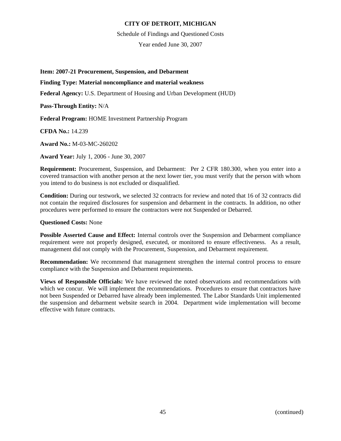Schedule of Findings and Questioned Costs

Year ended June 30, 2007

**Item: 2007-21 Procurement, Suspension, and Debarment** 

### **Finding Type: Material noncompliance and material weakness**

**Federal Agency:** U.S. Department of Housing and Urban Development (HUD)

**Pass-Through Entity:** N/A

**Federal Program:** HOME Investment Partnership Program

**CFDA No.:** 14.239

**Award No.:** M-03-MC-260202

**Award Year:** July 1, 2006 - June 30, 2007

**Requirement:** Procurement, Suspension, and Debarment: Per 2 CFR 180.300, when you enter into a covered transaction with another person at the next lower tier, you must verify that the person with whom you intend to do business is not excluded or disqualified.

**Condition:** During our testwork, we selected 32 contracts for review and noted that 16 of 32 contracts did not contain the required disclosures for suspension and debarment in the contracts. In addition, no other procedures were performed to ensure the contractors were not Suspended or Debarred.

### **Questioned Costs:** None

**Possible Asserted Cause and Effect:** Internal controls over the Suspension and Debarment compliance requirement were not properly designed, executed, or monitored to ensure effectiveness. As a result, management did not comply with the Procurement, Suspension, and Debarment requirement.

**Recommendation:** We recommend that management strengthen the internal control process to ensure compliance with the Suspension and Debarment requirements.

**Views of Responsible Officials:** We have reviewed the noted observations and recommendations with which we concur. We will implement the recommendations. Procedures to ensure that contractors have not been Suspended or Debarred have already been implemented. The Labor Standards Unit implemented the suspension and debarment website search in 2004. Department wide implementation will become effective with future contracts.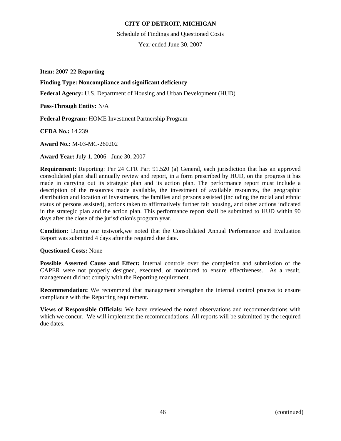Schedule of Findings and Questioned Costs

Year ended June 30, 2007

**Item: 2007-22 Reporting** 

**Finding Type: Noncompliance and significant deficiency** 

**Federal Agency:** U.S. Department of Housing and Urban Development (HUD)

**Pass-Through Entity:** N/A

**Federal Program:** HOME Investment Partnership Program

**CFDA No.:** 14.239

**Award No.:** M-03-MC-260202

**Award Year:** July 1, 2006 - June 30, 2007

**Requirement:** Reporting: Per 24 CFR Part 91.520 (a) General, each jurisdiction that has an approved consolidated plan shall annually review and report, in a form prescribed by HUD, on the progress it has made in carrying out its strategic plan and its action plan. The performance report must include a description of the resources made available, the investment of available resources, the geographic distribution and location of investments, the families and persons assisted (including the racial and ethnic status of persons assisted), actions taken to affirmatively further fair housing, and other actions indicated in the strategic plan and the action plan. This performance report shall be submitted to HUD within 90 days after the close of the jurisdiction's program year.

**Condition:** During our testwork,we noted that the Consolidated Annual Performance and Evaluation Report was submitted 4 days after the required due date.

### **Questioned Costs:** None

**Possible Asserted Cause and Effect:** Internal controls over the completion and submission of the CAPER were not properly designed, executed, or monitored to ensure effectiveness. As a result, management did not comply with the Reporting requirement.

**Recommendation:** We recommend that management strengthen the internal control process to ensure compliance with the Reporting requirement.

**Views of Responsible Officials:** We have reviewed the noted observations and recommendations with which we concur. We will implement the recommendations. All reports will be submitted by the required due dates.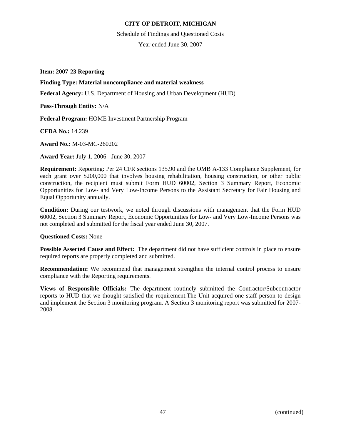Schedule of Findings and Questioned Costs

Year ended June 30, 2007

**Item: 2007-23 Reporting** 

### **Finding Type: Material noncompliance and material weakness**

**Federal Agency:** U.S. Department of Housing and Urban Development (HUD)

**Pass-Through Entity:** N/A

**Federal Program:** HOME Investment Partnership Program

**CFDA No.:** 14.239

**Award No.:** M-03-MC-260202

**Award Year:** July 1, 2006 - June 30, 2007

**Requirement:** Reporting: Per 24 CFR sections 135.90 and the OMB A-133 Compliance Supplement, for each grant over \$200,000 that involves housing rehabilitation, housing construction, or other public construction, the recipient must submit Form HUD 60002, Section 3 Summary Report, Economic Opportunities for Low- and Very Low-Income Persons to the Assistant Secretary for Fair Housing and Equal Opportunity annually.

**Condition:** During our testwork, we noted through discussions with management that the Form HUD 60002, Section 3 Summary Report, Economic Opportunities for Low- and Very Low-Income Persons was not completed and submitted for the fiscal year ended June 30, 2007.

#### **Questioned Costs:** None

**Possible Asserted Cause and Effect:** The department did not have sufficient controls in place to ensure required reports are properly completed and submitted.

**Recommendation:** We recommend that management strengthen the internal control process to ensure compliance with the Reporting requirements.

**Views of Responsible Officials:** The department routinely submitted the Contractor/Subcontractor reports to HUD that we thought satisfied the requirement.The Unit acquired one staff person to design and implement the Section 3 monitoring program. A Section 3 monitoring report was submitted for 2007- 2008.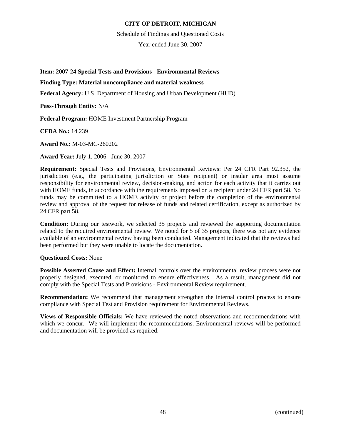Schedule of Findings and Questioned Costs

Year ended June 30, 2007

**Item: 2007-24 Special Tests and Provisions - Environmental Reviews** 

## **Finding Type: Material noncompliance and material weakness**

**Federal Agency:** U.S. Department of Housing and Urban Development (HUD)

**Pass-Through Entity:** N/A

**Federal Program:** HOME Investment Partnership Program

**CFDA No.:** 14.239

**Award No.:** M-03-MC-260202

**Award Year:** July 1, 2006 - June 30, 2007

**Requirement:** Special Tests and Provisions, Environmental Reviews: Per 24 CFR Part 92.352, the jurisdiction (e.g., the participating jurisdiction or State recipient) or insular area must assume responsibility for environmental review, decision-making, and action for each activity that it carries out with HOME funds, in accordance with the requirements imposed on a recipient under 24 CFR part 58. No funds may be committed to a HOME activity or project before the completion of the environmental review and approval of the request for release of funds and related certification, except as authorized by 24 CFR part 58.

**Condition:** During our testwork, we selected 35 projects and reviewed the supporting documentation related to the required environmental review. We noted for 5 of 35 projects, there was not any evidence available of an environmental review having been conducted. Management indicated that the reviews had been performed but they were unable to locate the documentation.

### **Questioned Costs:** None

**Possible Asserted Cause and Effect:** Internal controls over the environmental review process were not properly designed, executed, or monitored to ensure effectiveness. As a result, management did not comply with the Special Tests and Provisions - Environmental Review requirement.

**Recommendation:** We recommend that management strengthen the internal control process to ensure compliance with Special Test and Provision requirement for Environmental Reviews.

**Views of Responsible Officials:** We have reviewed the noted observations and recommendations with which we concur. We will implement the recommendations. Environmental reviews will be performed and documentation will be provided as required.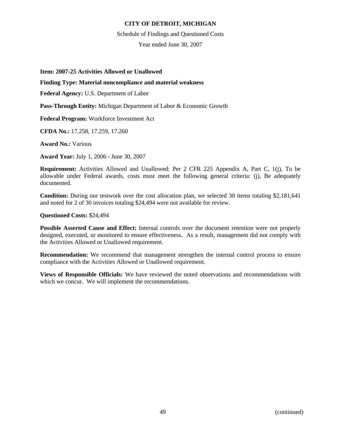#### Schedule of Findings and Questioned Costs

Year ended June 30, 2007

### **Item: 2007-25 Activities Allowed or Unallowed**

## **Finding Type: Material noncompliance and material weakness**

**Federal Agency:** U.S. Department of Labor

**Pass-Through Entity:** Michigan Department of Labor & Economic Growth

**Federal Program:** Workforce Investment Act

**CFDA No.:** 17.258, 17.259, 17.260

**Award No.:** Various

**Award Year:** July 1, 2006 - June 30, 2007

**Requirement:** Activities Allowed and Unallowed: Per 2 CFR 225 Appendix A, Part C, 1(j), To be allowable under Federal awards, costs must meet the following general criteria: (j), Be adequately documented.

**Condition:** During our testwork over the cost allocation plan, we selected 30 items totaling \$2,181,641 and noted for 2 of 30 invoices totaling \$24,494 were not available for review.

### **Questioned Costs:** \$24,494

**Possible Asserted Cause and Effect:** Internal controls over the document retention were not properly designed, executed, or monitored to ensure effectiveness. As a result, management did not comply with the Activities Allowed or Unallowed requirement.

**Recommendation:** We recommend that management strengthen the internal control process to ensure compliance with the Activities Allowed or Unallowed requirement.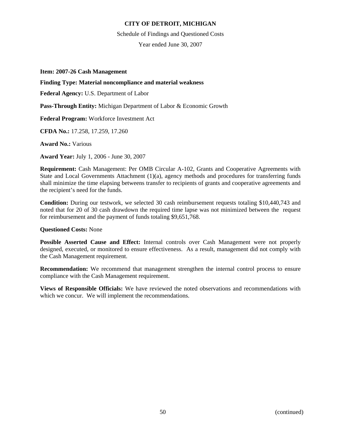Schedule of Findings and Questioned Costs

Year ended June 30, 2007

**Item: 2007-26 Cash Management** 

#### **Finding Type: Material noncompliance and material weakness**

**Federal Agency:** U.S. Department of Labor

**Pass-Through Entity:** Michigan Department of Labor & Economic Growth

**Federal Program:** Workforce Investment Act

**CFDA No.:** 17.258, 17.259, 17.260

**Award No.:** Various

**Award Year:** July 1, 2006 - June 30, 2007

**Requirement:** Cash Management: Per OMB Circular A-102, Grants and Cooperative Agreements with State and Local Governments Attachment  $(1)(a)$ , agency methods and procedures for transferring funds shall minimize the time elapsing betweens transfer to recipients of grants and cooperative agreements and the recipient's need for the funds.

**Condition:** During our testwork, we selected 30 cash reimbursement requests totaling \$10,440,743 and noted that for 20 of 30 cash drawdown the required time lapse was not minimized between the request for reimbursement and the payment of funds totaling \$9,651,768.

### **Questioned Costs:** None

**Possible Asserted Cause and Effect:** Internal controls over Cash Management were not properly designed, executed, or monitored to ensure effectiveness. As a result, management did not comply with the Cash Management requirement.

**Recommendation:** We recommend that management strengthen the internal control process to ensure compliance with the Cash Management requirement.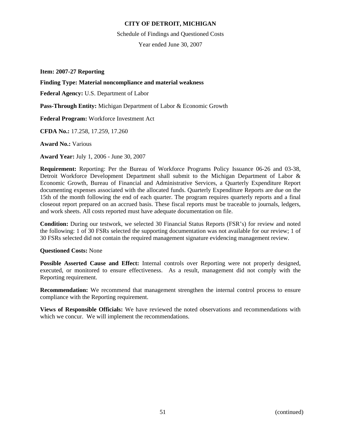Schedule of Findings and Questioned Costs

Year ended June 30, 2007

**Item: 2007-27 Reporting** 

## **Finding Type: Material noncompliance and material weakness**

**Federal Agency:** U.S. Department of Labor

**Pass-Through Entity:** Michigan Department of Labor & Economic Growth

**Federal Program:** Workforce Investment Act

**CFDA No.:** 17.258, 17.259, 17.260

**Award No.:** Various

**Award Year:** July 1, 2006 - June 30, 2007

**Requirement:** Reporting: Per the Bureau of Workforce Programs Policy Issuance 06-26 and 03-38, Detroit Workforce Development Department shall submit to the Michigan Department of Labor & Economic Growth, Bureau of Financial and Administrative Services, a Quarterly Expenditure Report documenting expenses associated with the allocated funds. Quarterly Expenditure Reports are due on the 15th of the month following the end of each quarter. The program requires quarterly reports and a final closeout report prepared on an accrued basis. These fiscal reports must be traceable to journals, ledgers, and work sheets. All costs reported must have adequate documentation on file.

**Condition:** During our testwork, we selected 30 Financial Status Reports (FSR's) for review and noted the following: 1 of 30 FSRs selected the supporting documentation was not available for our review; 1 of 30 FSRs selected did not contain the required management signature evidencing management review.

### **Questioned Costs:** None

**Possible Asserted Cause and Effect:** Internal controls over Reporting were not properly designed, executed, or monitored to ensure effectiveness. As a result, management did not comply with the Reporting requirement.

**Recommendation:** We recommend that management strengthen the internal control process to ensure compliance with the Reporting requirement.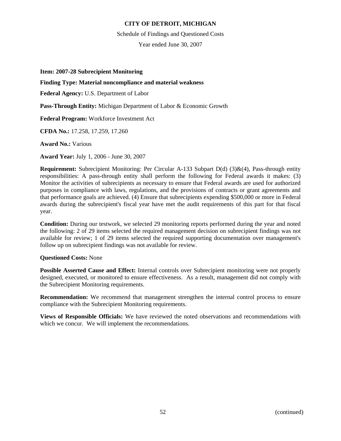#### Schedule of Findings and Questioned Costs

Year ended June 30, 2007

### **Item: 2007-28 Subrecipient Monitoring**

### **Finding Type: Material noncompliance and material weakness**

**Federal Agency:** U.S. Department of Labor

**Pass-Through Entity:** Michigan Department of Labor & Economic Growth

**Federal Program:** Workforce Investment Act

**CFDA No.:** 17.258, 17.259, 17.260

**Award No.:** Various

**Award Year:** July 1, 2006 - June 30, 2007

**Requirement:** Subrecipient Monitoring: Per Circular A-133 Subpart D(d) (3)&(4), Pass-through entity responsibilities: A pass-through entity shall perform the following for Federal awards it makes: (3) Monitor the activities of subrecipients as necessary to ensure that Federal awards are used for authorized purposes in compliance with laws, regulations, and the provisions of contracts or grant agreements and that performance goals are achieved. (4) Ensure that subrecipients expending \$500,000 or more in Federal awards during the subrecipient's fiscal year have met the audit requirements of this part for that fiscal year.

**Condition:** During our testwork, we selected 29 monitoring reports performed during the year and noted the following: 2 of 29 items selected the required management decision on subrecipient findings was not available for review; 1 of 29 items selected the required supporting documentation over management's follow up on subrecipient findings was not available for review.

### **Questioned Costs:** None

**Possible Asserted Cause and Effect:** Internal controls over Subrecipient monitoring were not properly designed, executed, or monitored to ensure effectiveness. As a result, management did not comply with the Subrecipient Monitoring requirements.

**Recommendation:** We recommend that management strengthen the internal control process to ensure compliance with the Subrecipient Monitoring requirements.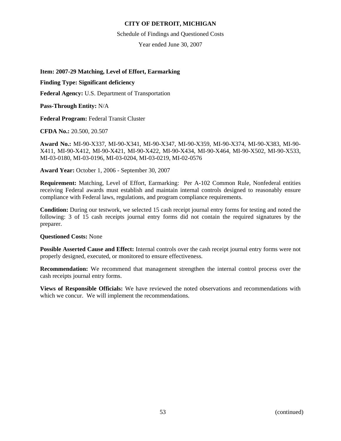Schedule of Findings and Questioned Costs

Year ended June 30, 2007

### **Item: 2007-29 Matching, Level of Effort, Earmarking**

## **Finding Type: Significant deficiency**

**Federal Agency:** U.S. Department of Transportation

**Pass-Through Entity:** N/A

**Federal Program:** Federal Transit Cluster

**CFDA No.:** 20.500, 20.507

**Award No.:** MI-90-X337, MI-90-X341, MI-90-X347, MI-90-X359, MI-90-X374, MI-90-X383, MI-90- X411, MI-90-X412, MI-90-X421, MI-90-X422, MI-90-X434, MI-90-X464, MI-90-X502, MI-90-X533, MI-03-0180, MI-03-0196, MI-03-0204, MI-03-0219, MI-02-0576

**Award Year:** October 1, 2006 - September 30, 2007

**Requirement:** Matching, Level of Effort, Earmarking: Per A-102 Common Rule, Nonfederal entities receiving Federal awards must establish and maintain internal controls designed to reasonably ensure compliance with Federal laws, regulations, and program compliance requirements.

**Condition:** During our testwork, we selected 15 cash receipt journal entry forms for testing and noted the following: 3 of 15 cash receipts journal entry forms did not contain the required signatures by the preparer.

### **Questioned Costs:** None

**Possible Asserted Cause and Effect:** Internal controls over the cash receipt journal entry forms were not properly designed, executed, or monitored to ensure effectiveness.

**Recommendation:** We recommend that management strengthen the internal control process over the cash receipts journal entry forms.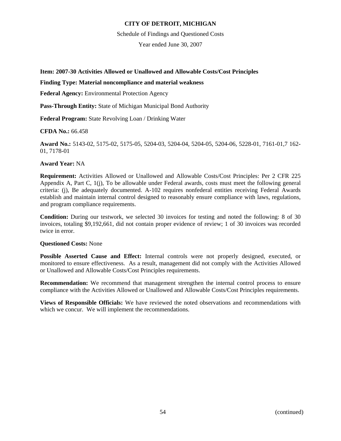Schedule of Findings and Questioned Costs

Year ended June 30, 2007

**Item: 2007-30 Activities Allowed or Unallowed and Allowable Costs/Cost Principles** 

## **Finding Type: Material noncompliance and material weakness**

**Federal Agency:** Environmental Protection Agency

**Pass-Through Entity:** State of Michigan Municipal Bond Authority

**Federal Program:** State Revolving Loan / Drinking Water

**CFDA No.:** 66.458

**Award No.:** 5143-02, 5175-02, 5175-05, 5204-03, 5204-04, 5204-05, 5204-06, 5228-01, 7161-01,7 162- 01, 7178-01

### **Award Year:** NA

**Requirement:** Activities Allowed or Unallowed and Allowable Costs/Cost Principles: Per 2 CFR 225 Appendix A, Part C, 1(j), To be allowable under Federal awards, costs must meet the following general criteria: (j), Be adequately documented. A-102 requires nonfederal entities receiving Federal Awards establish and maintain internal control designed to reasonably ensure compliance with laws, regulations, and program compliance requirements.

**Condition:** During our testwork, we selected 30 invoices for testing and noted the following: 8 of 30 invoices, totaling \$9,192,661, did not contain proper evidence of review; 1 of 30 invoices was recorded twice in error.

### **Questioned Costs:** None

**Possible Asserted Cause and Effect:** Internal controls were not properly designed, executed, or monitored to ensure effectiveness. As a result, management did not comply with the Activities Allowed or Unallowed and Allowable Costs/Cost Principles requirements.

**Recommendation:** We recommend that management strengthen the internal control process to ensure compliance with the Activities Allowed or Unallowed and Allowable Costs/Cost Principles requirements.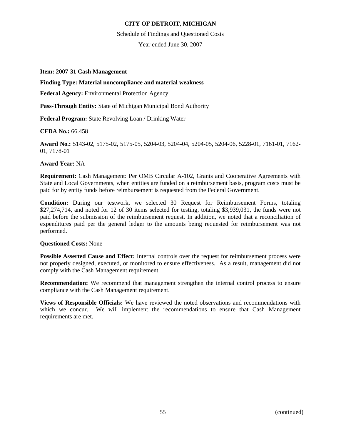#### Schedule of Findings and Questioned Costs

Year ended June 30, 2007

### **Item: 2007-31 Cash Management**

#### **Finding Type: Material noncompliance and material weakness**

**Federal Agency:** Environmental Protection Agency

**Pass-Through Entity:** State of Michigan Municipal Bond Authority

**Federal Program:** State Revolving Loan / Drinking Water

**CFDA No.:** 66.458

**Award No.:** 5143-02, 5175-02, 5175-05, 5204-03, 5204-04, 5204-05, 5204-06, 5228-01, 7161-01, 7162- 01, 7178-01

### **Award Year:** NA

**Requirement:** Cash Management: Per OMB Circular A-102, Grants and Cooperative Agreements with State and Local Governments, when entities are funded on a reimbursement basis, program costs must be paid for by entity funds before reimbursement is requested from the Federal Government.

**Condition:** During our testwork, we selected 30 Request for Reimbursement Forms, totaling \$27,274,714, and noted for 12 of 30 items selected for testing, totaling \$3,939,031, the funds were not paid before the submission of the reimbursement request. In addition, we noted that a reconciliation of expenditures paid per the general ledger to the amounts being requested for reimbursement was not performed.

### **Questioned Costs:** None

**Possible Asserted Cause and Effect:** Internal controls over the request for reimbursement process were not properly designed, executed, or monitored to ensure effectiveness. As a result, management did not comply with the Cash Management requirement.

**Recommendation:** We recommend that management strengthen the internal control process to ensure compliance with the Cash Management requirement.

**Views of Responsible Officials:** We have reviewed the noted observations and recommendations with which we concur. We will implement the recommendations to ensure that Cash Management requirements are met.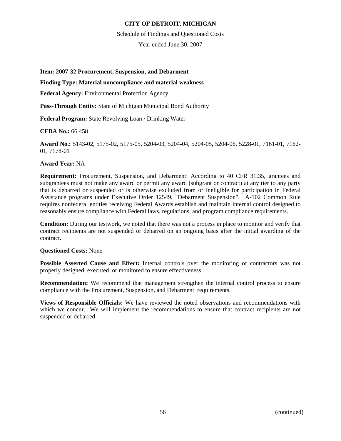Schedule of Findings and Questioned Costs

Year ended June 30, 2007

**Item: 2007-32 Procurement, Suspension, and Debarment** 

## **Finding Type: Material noncompliance and material weakness**

**Federal Agency:** Environmental Protection Agency

**Pass-Through Entity:** State of Michigan Municipal Bond Authority

**Federal Program:** State Revolving Loan / Drinking Water

**CFDA No.:** 66.458

**Award No.:** 5143-02, 5175-02, 5175-05, 5204-03, 5204-04, 5204-05, 5204-06, 5228-01, 7161-01, 7162- 01, 7178-01

### **Award Year:** NA

**Requirement:** Procurement, Suspension, and Debarment: According to 40 CFR 31.35, grantees and subgrantees must not make any award or permit any award (subgrant or contract) at any tier to any party that is debarred or suspended or is otherwise excluded from or ineligible for participation in Federal Assistance programs under Executive Order 12549, "Debarment Suspension". A-102 Common Rule requires nonfederal entities receiving Federal Awards establish and maintain internal control designed to reasonably ensure compliance with Federal laws, regulations, and program compliance requirements.

**Condition:** During our testwork, we noted that there was not a process in place to monitor and verify that contract recipients are not suspended or debarred on an ongoing basis after the initial awarding of the contract.

### **Questioned Costs:** None

**Possible Asserted Cause and Effect:** Internal controls over the monitoring of contractors was not properly designed, executed, or monitored to ensure effectiveness.

**Recommendation:** We recommend that management strengthen the internal control process to ensure compliance with the Procurement, Suspension, and Debarment requirements.

**Views of Responsible Officials:** We have reviewed the noted observations and recommendations with which we concur. We will implement the recommendations to ensure that contract recipients are not suspended or debarred.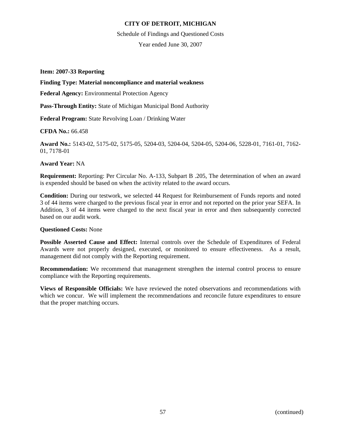Schedule of Findings and Questioned Costs

Year ended June 30, 2007

**Item: 2007-33 Reporting** 

## **Finding Type: Material noncompliance and material weakness**

**Federal Agency:** Environmental Protection Agency

**Pass-Through Entity:** State of Michigan Municipal Bond Authority

**Federal Program:** State Revolving Loan / Drinking Water

**CFDA No.:** 66.458

**Award No.:** 5143-02, 5175-02, 5175-05, 5204-03, 5204-04, 5204-05, 5204-06, 5228-01, 7161-01, 7162- 01, 7178-01

### **Award Year:** NA

**Requirement:** Reporting: Per Circular No. A-133, Subpart B .205, The determination of when an award is expended should be based on when the activity related to the award occurs.

**Condition:** During our testwork, we selected 44 Request for Reimbursement of Funds reports and noted 3 of 44 items were charged to the previous fiscal year in error and not reported on the prior year SEFA. In Addition, 3 of 44 items were charged to the next fiscal year in error and then subsequently corrected based on our audit work.

### **Questioned Costs:** None

**Possible Asserted Cause and Effect:** Internal controls over the Schedule of Expenditures of Federal Awards were not properly designed, executed, or monitored to ensure effectiveness. As a result, management did not comply with the Reporting requirement.

**Recommendation:** We recommend that management strengthen the internal control process to ensure compliance with the Reporting requirements.

**Views of Responsible Officials:** We have reviewed the noted observations and recommendations with which we concur. We will implement the recommendations and reconcile future expenditures to ensure that the proper matching occurs.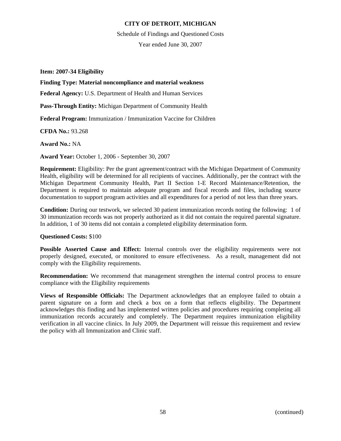Schedule of Findings and Questioned Costs

Year ended June 30, 2007

**Item: 2007-34 Eligibility** 

### **Finding Type: Material noncompliance and material weakness**

**Federal Agency:** U.S. Department of Health and Human Services

**Pass-Through Entity:** Michigan Department of Community Health

**Federal Program:** Immunization / Immunization Vaccine for Children

**CFDA No.:** 93.268

**Award No.:** NA

**Award Year:** October 1, 2006 - September 30, 2007

**Requirement:** Eligibility: Per the grant agreement/contract with the Michigan Department of Community Health, eligibility will be determined for all recipients of vaccines. Additionally, per the contract with the Michigan Department Community Health, Part II Section 1-E Record Maintenance/Retention, the Department is required to maintain adequate program and fiscal records and files, including source documentation to support program activities and all expenditures for a period of not less than three years.

**Condition:** During our testwork, we selected 30 patient immunization records noting the following: 1 of 30 immunization records was not properly authorized as it did not contain the required parental signature. In addition, 1 of 30 items did not contain a completed eligibility determination form.

### **Questioned Costs:** \$100

**Possible Asserted Cause and Effect:** Internal controls over the eligibility requirements were not properly designed, executed, or monitored to ensure effectiveness. As a result, management did not comply with the Eligibility requirements.

**Recommendation:** We recommend that management strengthen the internal control process to ensure compliance with the Eligibility requirements

**Views of Responsible Officials:** The Department acknowledges that an employee failed to obtain a parent signature on a form and check a box on a form that reflects eligibility. The Department acknowledges this finding and has implemented written policies and procedures requiring completing all immunization records accurately and completely. The Department requires immunization eligibility verification in all vaccine clinics. In July 2009, the Department will reissue this requirement and review the policy with all Immunization and Clinic staff.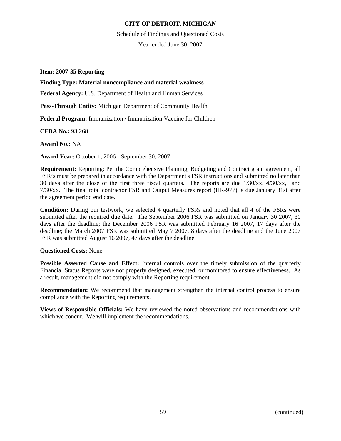Schedule of Findings and Questioned Costs

Year ended June 30, 2007

### **Item: 2007-35 Reporting**

## **Finding Type: Material noncompliance and material weakness**

**Federal Agency:** U.S. Department of Health and Human Services

**Pass-Through Entity:** Michigan Department of Community Health

**Federal Program:** Immunization / Immunization Vaccine for Children

**CFDA No.:** 93.268

**Award No.:** NA

**Award Year:** October 1, 2006 - September 30, 2007

**Requirement:** Reporting: Per the Comprehensive Planning, Budgeting and Contract grant agreement, all FSR's must be prepared in accordance with the Department's FSR instructions and submitted no later than 30 days after the close of the first three fiscal quarters. The reports are due 1/30/xx, 4/30/xx, and 7/30/xx. The final total contractor FSR and Output Measures report (HR-977) is due January 31st after the agreement period end date.

**Condition:** During our testwork, we selected 4 quarterly FSRs and noted that all 4 of the FSRs were submitted after the required due date. The September 2006 FSR was submitted on January 30 2007, 30 days after the deadline; the December 2006 FSR was submitted February 16 2007, 17 days after the deadline; the March 2007 FSR was submitted May 7 2007, 8 days after the deadline and the June 2007 FSR was submitted August 16 2007, 47 days after the deadline.

### **Questioned Costs:** None

**Possible Asserted Cause and Effect:** Internal controls over the timely submission of the quarterly Financial Status Reports were not properly designed, executed, or monitored to ensure effectiveness. As a result, management did not comply with the Reporting requirement.

**Recommendation:** We recommend that management strengthen the internal control process to ensure compliance with the Reporting requirements.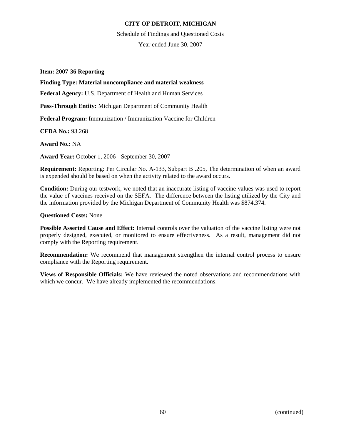Schedule of Findings and Questioned Costs

Year ended June 30, 2007

**Item: 2007-36 Reporting** 

## **Finding Type: Material noncompliance and material weakness**

**Federal Agency:** U.S. Department of Health and Human Services

**Pass-Through Entity:** Michigan Department of Community Health

**Federal Program:** Immunization / Immunization Vaccine for Children

**CFDA No.:** 93.268

**Award No.:** NA

**Award Year:** October 1, 2006 - September 30, 2007

**Requirement:** Reporting: Per Circular No. A-133, Subpart B .205, The determination of when an award is expended should be based on when the activity related to the award occurs.

**Condition:** During our testwork, we noted that an inaccurate listing of vaccine values was used to report the value of vaccines received on the SEFA. The difference between the listing utilized by the City and the information provided by the Michigan Department of Community Health was \$874,374.

### **Questioned Costs:** None

**Possible Asserted Cause and Effect:** Internal controls over the valuation of the vaccine listing were not properly designed, executed, or monitored to ensure effectiveness. As a result, management did not comply with the Reporting requirement.

**Recommendation:** We recommend that management strengthen the internal control process to ensure compliance with the Reporting requirement.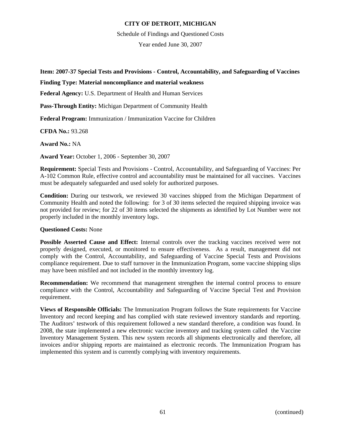Schedule of Findings and Questioned Costs

Year ended June 30, 2007

**Item: 2007-37 Special Tests and Provisions - Control, Accountability, and Safeguarding of Vaccines** 

## **Finding Type: Material noncompliance and material weakness**

**Federal Agency:** U.S. Department of Health and Human Services

**Pass-Through Entity:** Michigan Department of Community Health

**Federal Program:** Immunization / Immunization Vaccine for Children

**CFDA No.:** 93.268

**Award No.:** NA

**Award Year:** October 1, 2006 - September 30, 2007

**Requirement:** Special Tests and Provisions - Control, Accountability, and Safeguarding of Vaccines: Per A-102 Common Rule, effective control and accountability must be maintained for all vaccines. Vaccines must be adequately safeguarded and used solely for authorized purposes.

**Condition:** During our testwork, we reviewed 30 vaccines shipped from the Michigan Department of Community Health and noted the following: for 3 of 30 items selected the required shipping invoice was not provided for review; for 22 of 30 items selected the shipments as identified by Lot Number were not properly included in the monthly inventory logs.

## **Questioned Costs:** None

**Possible Asserted Cause and Effect:** Internal controls over the tracking vaccines received were not properly designed, executed, or monitored to ensure effectiveness. As a result, management did not comply with the Control, Accountability, and Safeguarding of Vaccine Special Tests and Provisions compliance requirement. Due to staff turnover in the Immunization Program, some vaccine shipping slips may have been misfiled and not included in the monthly inventory log.

**Recommendation:** We recommend that management strengthen the internal control process to ensure compliance with the Control, Accountability and Safeguarding of Vaccine Special Test and Provision requirement.

**Views of Responsible Officials:** The Immunization Program follows the State requirements for Vaccine Inventory and record keeping and has complied with state reviewed inventory standards and reporting. The Auditors' testwork of this requirement followed a new standard therefore, a condition was found. In 2008, the state implemented a new electronic vaccine inventory and tracking system called the Vaccine Inventory Management System. This new system records all shipments electronically and therefore, all invoices and/or shipping reports are maintained as electronic records. The Immunization Program has implemented this system and is currently complying with inventory requirements.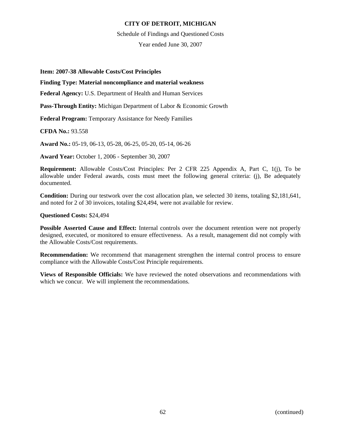#### Schedule of Findings and Questioned Costs

Year ended June 30, 2007

### **Item: 2007-38 Allowable Costs/Cost Principles**

## **Finding Type: Material noncompliance and material weakness**

**Federal Agency:** U.S. Department of Health and Human Services

**Pass-Through Entity:** Michigan Department of Labor & Economic Growth

**Federal Program:** Temporary Assistance for Needy Families

**CFDA No.:** 93.558

**Award No.:** 05-19, 06-13, 05-28, 06-25, 05-20, 05-14, 06-26

**Award Year:** October 1, 2006 - September 30, 2007

**Requirement:** Allowable Costs/Cost Principles: Per 2 CFR 225 Appendix A, Part C, 1(j), To be allowable under Federal awards, costs must meet the following general criteria: (j), Be adequately documented.

**Condition:** During our testwork over the cost allocation plan, we selected 30 items, totaling \$2,181,641, and noted for 2 of 30 invoices, totaling \$24,494, were not available for review.

### **Questioned Costs:** \$24,494

**Possible Asserted Cause and Effect:** Internal controls over the document retention were not properly designed, executed, or monitored to ensure effectiveness. As a result, management did not comply with the Allowable Costs/Cost requirements.

**Recommendation:** We recommend that management strengthen the internal control process to ensure compliance with the Allowable Costs/Cost Principle requirements.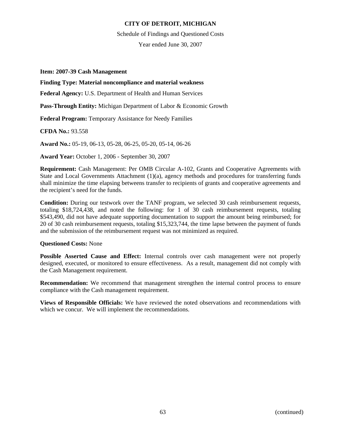Schedule of Findings and Questioned Costs

Year ended June 30, 2007

### **Item: 2007-39 Cash Management**

#### **Finding Type: Material noncompliance and material weakness**

**Federal Agency:** U.S. Department of Health and Human Services

**Pass-Through Entity:** Michigan Department of Labor & Economic Growth

**Federal Program:** Temporary Assistance for Needy Families

**CFDA No.:** 93.558

**Award No.:** 05-19, 06-13, 05-28, 06-25, 05-20, 05-14, 06-26

**Award Year:** October 1, 2006 - September 30, 2007

**Requirement:** Cash Management: Per OMB Circular A-102, Grants and Cooperative Agreements with State and Local Governments Attachment  $(1)(a)$ , agency methods and procedures for transferring funds shall minimize the time elapsing betweens transfer to recipients of grants and cooperative agreements and the recipient's need for the funds.

**Condition:** During our testwork over the TANF program, we selected 30 cash reimbursement requests, totaling \$18,724,438, and noted the following: for 1 of 30 cash reimbursement requests, totaling \$543,490, did not have adequate supporting documentation to support the amount being reimbursed; for 20 of 30 cash reimbursement requests, totaling \$15,323,744, the time lapse between the payment of funds and the submission of the reimbursement request was not minimized as required.

### **Questioned Costs:** None

**Possible Asserted Cause and Effect:** Internal controls over cash management were not properly designed, executed, or monitored to ensure effectiveness. As a result, management did not comply with the Cash Management requirement.

**Recommendation:** We recommend that management strengthen the internal control process to ensure compliance with the Cash management requirement.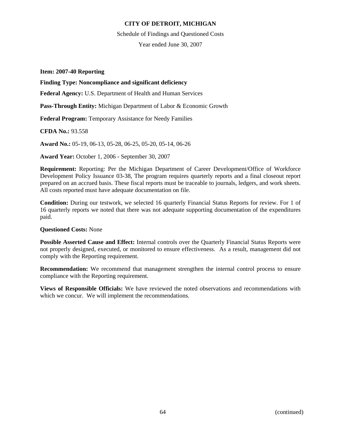Schedule of Findings and Questioned Costs

Year ended June 30, 2007

### **Item: 2007-40 Reporting**

### **Finding Type: Noncompliance and significant deficiency**

**Federal Agency:** U.S. Department of Health and Human Services

**Pass-Through Entity:** Michigan Department of Labor & Economic Growth

**Federal Program:** Temporary Assistance for Needy Families

**CFDA No.:** 93.558

**Award No.:** 05-19, 06-13, 05-28, 06-25, 05-20, 05-14, 06-26

**Award Year:** October 1, 2006 - September 30, 2007

**Requirement:** Reporting: Per the Michigan Department of Career Development/Office of Workforce Development Policy Issuance 03-38, The program requires quarterly reports and a final closeout report prepared on an accrued basis. These fiscal reports must be traceable to journals, ledgers, and work sheets. All costs reported must have adequate documentation on file.

**Condition:** During our testwork, we selected 16 quarterly Financial Status Reports for review. For 1 of 16 quarterly reports we noted that there was not adequate supporting documentation of the expenditures paid.

### **Questioned Costs:** None

**Possible Asserted Cause and Effect:** Internal controls over the Quarterly Financial Status Reports were not properly designed, executed, or monitored to ensure effectiveness. As a result, management did not comply with the Reporting requirement.

**Recommendation:** We recommend that management strengthen the internal control process to ensure compliance with the Reporting requirement.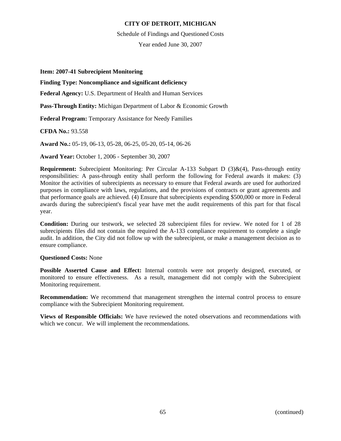#### Schedule of Findings and Questioned Costs

Year ended June 30, 2007

### **Item: 2007-41 Subrecipient Monitoring**

## **Finding Type: Noncompliance and significant deficiency**

**Federal Agency:** U.S. Department of Health and Human Services

**Pass-Through Entity:** Michigan Department of Labor & Economic Growth

**Federal Program:** Temporary Assistance for Needy Families

**CFDA No.:** 93.558

**Award No.:** 05-19, 06-13, 05-28, 06-25, 05-20, 05-14, 06-26

**Award Year:** October 1, 2006 - September 30, 2007

**Requirement:** Subrecipient Monitoring: Per Circular A-133 Subpart D (3)&(4), Pass-through entity responsibilities: A pass-through entity shall perform the following for Federal awards it makes: (3) Monitor the activities of subrecipients as necessary to ensure that Federal awards are used for authorized purposes in compliance with laws, regulations, and the provisions of contracts or grant agreements and that performance goals are achieved. (4) Ensure that subrecipients expending \$500,000 or more in Federal awards during the subrecipient's fiscal year have met the audit requirements of this part for that fiscal year.

**Condition:** During our testwork, we selected 28 subrecipient files for review. We noted for 1 of 28 subrecipients files did not contain the required the A-133 compliance requirement to complete a single audit. In addition, the City did not follow up with the subrecipient, or make a management decision as to ensure compliance.

### **Questioned Costs:** None

**Possible Asserted Cause and Effect:** Internal controls were not properly designed, executed, or monitored to ensure effectiveness. As a result, management did not comply with the Subrecipient Monitoring requirement.

**Recommendation:** We recommend that management strengthen the internal control process to ensure compliance with the Subrecipient Monitoring requirement.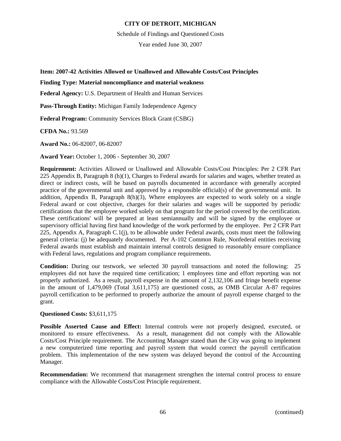Schedule of Findings and Questioned Costs

Year ended June 30, 2007

**Item: 2007-42 Activities Allowed or Unallowed and Allowable Costs/Cost Principles** 

### **Finding Type: Material noncompliance and material weakness**

**Federal Agency:** U.S. Department of Health and Human Services

**Pass-Through Entity:** Michigan Family Independence Agency

**Federal Program:** Community Services Block Grant (CSBG)

**CFDA No.:** 93.569

**Award No.:** 06-82007, 06-82007

**Award Year:** October 1, 2006 - September 30, 2007

**Requirement:** Activities Allowed or Unallowed and Allowable Costs/Cost Principles: Per 2 CFR Part 225 Appendix B, Paragraph 8 (h)(1), Charges to Federal awards for salaries and wages, whether treated as direct or indirect costs, will be based on payrolls documented in accordance with generally accepted practice of the governmental unit and approved by a responsible official(s) of the governmental unit. In addition, Appendix B, Paragraph 8(h)(3), Where employees are expected to work solely on a single Federal award or cost objective, charges for their salaries and wages will be supported by periodic certifications that the employee worked solely on that program for the period covered by the certification. These certifications' will be prepared at least semiannually and will be signed by the employee or supervisory official having first hand knowledge of the work performed by the employee. Per 2 CFR Part 225, Appendix A, Paragraph C.1(j), to be allowable under Federal awards, costs must meet the following general criteria: (j) be adequately documented. Per A-102 Common Rule, Nonfederal entities receiving Federal awards must establish and maintain internal controls designed to reasonably ensure compliance with Federal laws, regulations and program compliance requirements.

**Condition:** During our testwork, we selected 30 payroll transactions and noted the following: 25 employees did not have the required time certification; 1 employees time and effort reporting was not properly authorized. As a result, payroll expense in the amount of 2,132,106 and fringe benefit expense in the amount of 1,479,069 (Total 3,611,175) are questioned costs, as OMB Circular A-87 requires payroll certification to be performed to properly authorize the amount of payroll expense charged to the grant.

### **Questioned Costs:** \$3,611,175

**Possible Asserted Cause and Effect:** Internal controls were not properly designed, executed, or monitored to ensure effectiveness. As a result, management did not comply with the Allowable Costs/Cost Principle requirement. The Accounting Manager stated than the City was going to implement a new computerized time reporting and payroll system that would correct the payroll certification problem. This implementation of the new system was delayed beyond the control of the Accounting Manager.

**Recommendation:** We recommend that management strengthen the internal control process to ensure compliance with the Allowable Costs/Cost Principle requirement.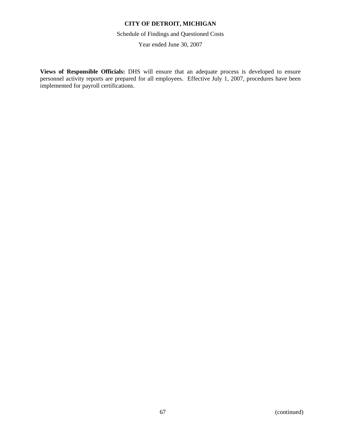Schedule of Findings and Questioned Costs

Year ended June 30, 2007

**Views of Responsible Officials:** DHS will ensure that an adequate process is developed to ensure personnel activity reports are prepared for all employees. Effective July 1, 2007, procedures have been implemented for payroll certifications.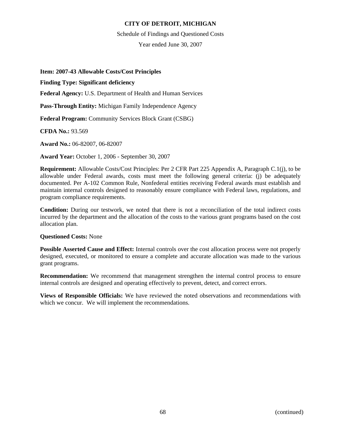Schedule of Findings and Questioned Costs

Year ended June 30, 2007

### **Item: 2007-43 Allowable Costs/Cost Principles**

### **Finding Type: Significant deficiency**

**Federal Agency:** U.S. Department of Health and Human Services

**Pass-Through Entity:** Michigan Family Independence Agency

**Federal Program:** Community Services Block Grant (CSBG)

**CFDA No.:** 93.569

**Award No.:** 06-82007, 06-82007

**Award Year:** October 1, 2006 - September 30, 2007

**Requirement:** Allowable Costs/Cost Principles: Per 2 CFR Part 225 Appendix A, Paragraph C.1(j), to be allowable under Federal awards, costs must meet the following general criteria: (j) be adequately documented. Per A-102 Common Rule, Nonfederal entities receiving Federal awards must establish and maintain internal controls designed to reasonably ensure compliance with Federal laws, regulations, and program compliance requirements.

**Condition:** During our testwork, we noted that there is not a reconciliation of the total indirect costs incurred by the department and the allocation of the costs to the various grant programs based on the cost allocation plan.

### **Questioned Costs:** None

**Possible Asserted Cause and Effect:** Internal controls over the cost allocation process were not properly designed, executed, or monitored to ensure a complete and accurate allocation was made to the various grant programs.

**Recommendation:** We recommend that management strengthen the internal control process to ensure internal controls are designed and operating effectively to prevent, detect, and correct errors.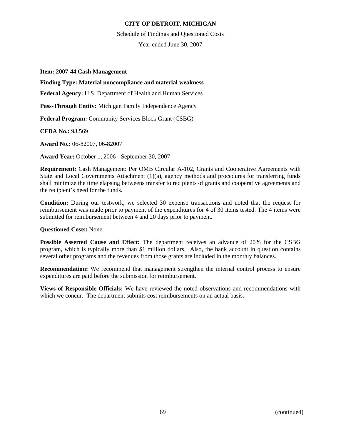Schedule of Findings and Questioned Costs

Year ended June 30, 2007

### **Item: 2007-44 Cash Management**

## **Finding Type: Material noncompliance and material weakness**

**Federal Agency:** U.S. Department of Health and Human Services

**Pass-Through Entity:** Michigan Family Independence Agency

**Federal Program:** Community Services Block Grant (CSBG)

**CFDA No.:** 93.569

**Award No.:** 06-82007, 06-82007

**Award Year:** October 1, 2006 - September 30, 2007

**Requirement:** Cash Management: Per OMB Circular A-102, Grants and Cooperative Agreements with State and Local Governments Attachment  $(1)(a)$ , agency methods and procedures for transferring funds shall minimize the time elapsing betweens transfer to recipients of grants and cooperative agreements and the recipient's need for the funds.

**Condition:** During our testwork, we selected 30 expense transactions and noted that the request for reimbursement was made prior to payment of the expenditures for 4 of 30 items tested. The 4 items were submitted for reimbursement between 4 and 20 days prior to payment.

### **Questioned Costs:** None

**Possible Asserted Cause and Effect:** The department receives an advance of 20% for the CSBG program, which is typically more than \$1 million dollars. Also, the bank account in question contains several other programs and the revenues from those grants are included in the monthly balances.

**Recommendation:** We recommend that management strengthen the internal control process to ensure expenditures are paid before the submission for reimbursement.

**Views of Responsible Officials:** We have reviewed the noted observations and recommendations with which we concur. The department submits cost reimbursements on an actual basis.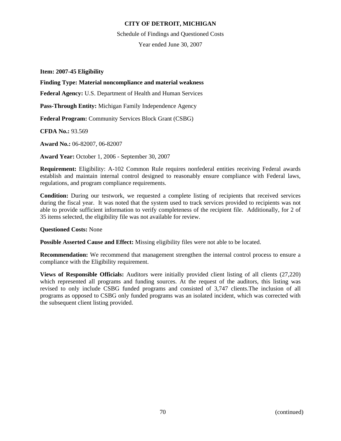Schedule of Findings and Questioned Costs

Year ended June 30, 2007

**Item: 2007-45 Eligibility** 

## **Finding Type: Material noncompliance and material weakness**

**Federal Agency:** U.S. Department of Health and Human Services

**Pass-Through Entity:** Michigan Family Independence Agency

**Federal Program:** Community Services Block Grant (CSBG)

**CFDA No.:** 93.569

**Award No.:** 06-82007, 06-82007

**Award Year:** October 1, 2006 - September 30, 2007

**Requirement:** Eligibility: A-102 Common Rule requires nonfederal entities receiving Federal awards establish and maintain internal control designed to reasonably ensure compliance with Federal laws, regulations, and program compliance requirements.

**Condition:** During our testwork, we requested a complete listing of recipients that received services during the fiscal year. It was noted that the system used to track services provided to recipients was not able to provide sufficient information to verify completeness of the recipient file. Additionally, for 2 of 35 items selected, the eligibility file was not available for review.

### **Questioned Costs:** None

**Possible Asserted Cause and Effect:** Missing eligibility files were not able to be located.

**Recommendation:** We recommend that management strengthen the internal control process to ensure a compliance with the Eligibility requirement.

**Views of Responsible Officials:** Auditors were initially provided client listing of all clients (27,220) which represented all programs and funding sources. At the request of the auditors, this listing was revised to only include CSBG funded programs and consisted of 3,747 clients.The inclusion of all programs as opposed to CSBG only funded programs was an isolated incident, which was corrected with the subsequent client listing provided.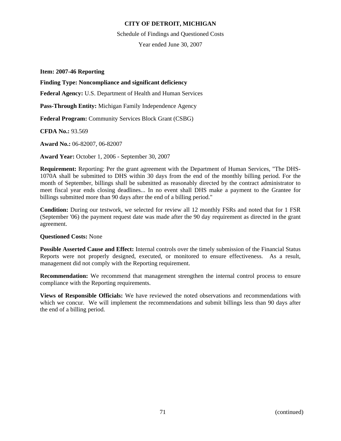Schedule of Findings and Questioned Costs

Year ended June 30, 2007

#### **Item: 2007-46 Reporting**

# **Finding Type: Noncompliance and significant deficiency**

**Federal Agency:** U.S. Department of Health and Human Services

**Pass-Through Entity:** Michigan Family Independence Agency

**Federal Program:** Community Services Block Grant (CSBG)

**CFDA No.:** 93.569

**Award No.:** 06-82007, 06-82007

**Award Year:** October 1, 2006 - September 30, 2007

**Requirement:** Reporting: Per the grant agreement with the Department of Human Services, "The DHS-1070A shall be submitted to DHS within 30 days from the end of the monthly billing period. For the month of September, billings shall be submitted as reasonably directed by the contract administrator to meet fiscal year ends closing deadlines... In no event shall DHS make a payment to the Grantee for billings submitted more than 90 days after the end of a billing period."

**Condition:** During our testwork, we selected for review all 12 monthly FSRs and noted that for 1 FSR (September '06) the payment request date was made after the 90 day requirement as directed in the grant agreement.

# **Questioned Costs:** None

**Possible Asserted Cause and Effect:** Internal controls over the timely submission of the Financial Status Reports were not properly designed, executed, or monitored to ensure effectiveness. As a result, management did not comply with the Reporting requirement.

**Recommendation:** We recommend that management strengthen the internal control process to ensure compliance with the Reporting requirements.

**Views of Responsible Officials:** We have reviewed the noted observations and recommendations with which we concur. We will implement the recommendations and submit billings less than 90 days after the end of a billing period.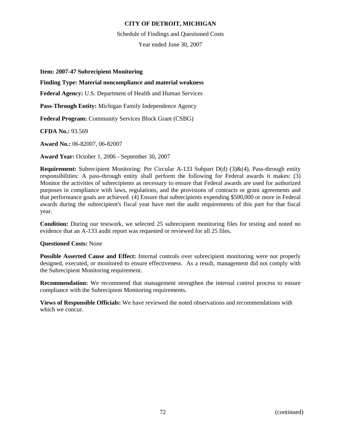#### Schedule of Findings and Questioned Costs

Year ended June 30, 2007

#### **Item: 2007-47 Subrecipient Monitoring**

# **Finding Type: Material noncompliance and material weakness**

**Federal Agency:** U.S. Department of Health and Human Services

**Pass-Through Entity:** Michigan Family Independence Agency

**Federal Program:** Community Services Block Grant (CSBG)

**CFDA No.:** 93.569

**Award No.:** 06-82007, 06-82007

**Award Year:** October 1, 2006 - September 30, 2007

**Requirement:** Subrecipient Monitoring: Per Circular A-133 Subpart D(d) (3)&(4), Pass-through entity responsibilities: A pass-through entity shall perform the following for Federal awards it makes: (3) Monitor the activities of subrecipients as necessary to ensure that Federal awards are used for authorized purposes in compliance with laws, regulations, and the provisions of contracts or grant agreements and that performance goals are achieved. (4) Ensure that subrecipients expending \$500,000 or more in Federal awards during the subrecipient's fiscal year have met the audit requirements of this part for that fiscal year.

**Condition:** During our testwork, we selected 25 subrecipient monitoring files for testing and noted no evidence that an A-133 audit report was requested or reviewed for all 25 files.

#### **Questioned Costs:** None

**Possible Asserted Cause and Effect:** Internal controls over subrecipient monitoring were not properly designed, executed, or monitored to ensure effectiveness. As a result, management did not comply with the Subrecipient Monitoring requirement.

**Recommendation:** We recommend that management strengthen the internal control process to ensure compliance with the Subrecipient Monitoring requirements.

**Views of Responsible Officials:** We have reviewed the noted observations and recommendations with which we concur.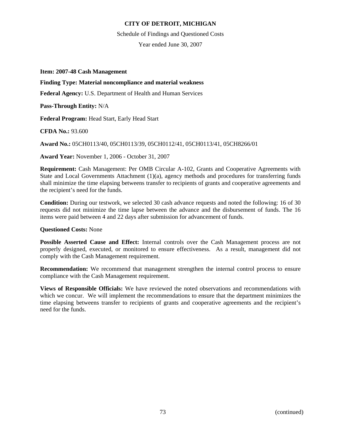Schedule of Findings and Questioned Costs

Year ended June 30, 2007

**Item: 2007-48 Cash Management** 

#### **Finding Type: Material noncompliance and material weakness**

**Federal Agency:** U.S. Department of Health and Human Services

**Pass-Through Entity:** N/A

**Federal Program:** Head Start, Early Head Start

**CFDA No.:** 93.600

**Award No.:** 05CH0113/40, 05CH0113/39, 05CH0112/41, 05CH0113/41, 05CH8266/01

**Award Year:** November 1, 2006 - October 31, 2007

**Requirement:** Cash Management: Per OMB Circular A-102, Grants and Cooperative Agreements with State and Local Governments Attachment  $(1)(a)$ , agency methods and procedures for transferring funds shall minimize the time elapsing betweens transfer to recipients of grants and cooperative agreements and the recipient's need for the funds.

**Condition:** During our testwork, we selected 30 cash advance requests and noted the following: 16 of 30 requests did not minimize the time lapse between the advance and the disbursement of funds. The 16 items were paid between 4 and 22 days after submission for advancement of funds.

#### **Questioned Costs:** None

**Possible Asserted Cause and Effect:** Internal controls over the Cash Management process are not properly designed, executed, or monitored to ensure effectiveness. As a result, management did not comply with the Cash Management requirement.

**Recommendation:** We recommend that management strengthen the internal control process to ensure compliance with the Cash Management requirement.

**Views of Responsible Officials:** We have reviewed the noted observations and recommendations with which we concur. We will implement the recommendations to ensure that the department minimizes the time elapsing betweens transfer to recipients of grants and cooperative agreements and the recipient's need for the funds.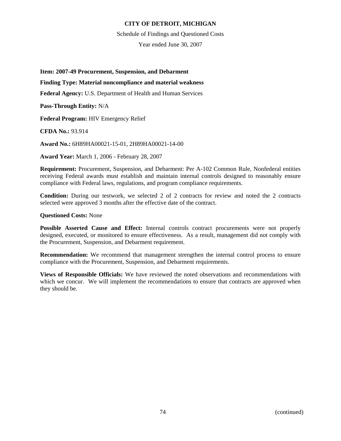Schedule of Findings and Questioned Costs

Year ended June 30, 2007

**Item: 2007-49 Procurement, Suspension, and Debarment** 

#### **Finding Type: Material noncompliance and material weakness**

**Federal Agency:** U.S. Department of Health and Human Services

**Pass-Through Entity:** N/A

**Federal Program:** HIV Emergency Relief

**CFDA No.:** 93.914

**Award No.:** 6H89HA00021-15-01, 2H89HA00021-14-00

**Award Year:** March 1, 2006 - February 28, 2007

**Requirement:** Procurement, Suspension, and Debarment: Per A-102 Common Rule, Nonfederal entities receiving Federal awards must establish and maintain internal controls designed to reasonably ensure compliance with Federal laws, regulations, and program compliance requirements.

**Condition:** During our testwork, we selected 2 of 2 contracts for review and noted the 2 contracts selected were approved 3 months after the effective date of the contract.

#### **Questioned Costs:** None

**Possible Asserted Cause and Effect:** Internal controls contract procurements were not properly designed, executed, or monitored to ensure effectiveness. As a result, management did not comply with the Procurement, Suspension, and Debarment requirement.

**Recommendation:** We recommend that management strengthen the internal control process to ensure compliance with the Procurement, Suspension, and Debarment requirements.

**Views of Responsible Officials:** We have reviewed the noted observations and recommendations with which we concur. We will implement the recommendations to ensure that contracts are approved when they should be.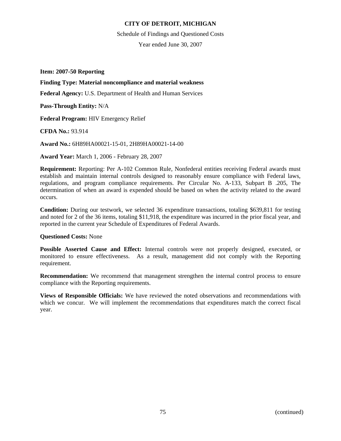Schedule of Findings and Questioned Costs

Year ended June 30, 2007

**Item: 2007-50 Reporting** 

#### **Finding Type: Material noncompliance and material weakness**

**Federal Agency:** U.S. Department of Health and Human Services

**Pass-Through Entity:** N/A

**Federal Program:** HIV Emergency Relief

**CFDA No.:** 93.914

**Award No.:** 6H89HA00021-15-01, 2H89HA00021-14-00

**Award Year:** March 1, 2006 - February 28, 2007

**Requirement:** Reporting: Per A-102 Common Rule, Nonfederal entities receiving Federal awards must establish and maintain internal controls designed to reasonably ensure compliance with Federal laws, regulations, and program compliance requirements. Per Circular No. A-133, Subpart B .205, The determination of when an award is expended should be based on when the activity related to the award occurs.

**Condition:** During our testwork, we selected 36 expenditure transactions, totaling \$639,811 for testing and noted for 2 of the 36 items, totaling \$11,918, the expenditure was incurred in the prior fiscal year, and reported in the current year Schedule of Expenditures of Federal Awards.

#### **Questioned Costs:** None

**Possible Asserted Cause and Effect:** Internal controls were not properly designed, executed, or monitored to ensure effectiveness. As a result, management did not comply with the Reporting requirement.

**Recommendation:** We recommend that management strengthen the internal control process to ensure compliance with the Reporting requirements.

**Views of Responsible Officials:** We have reviewed the noted observations and recommendations with which we concur. We will implement the recommendations that expenditures match the correct fiscal year.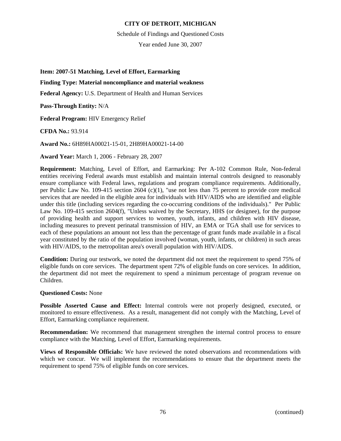Schedule of Findings and Questioned Costs

Year ended June 30, 2007

**Item: 2007-51 Matching, Level of Effort, Earmarking** 

# **Finding Type: Material noncompliance and material weakness**

**Federal Agency:** U.S. Department of Health and Human Services

**Pass-Through Entity:** N/A

**Federal Program:** HIV Emergency Relief

**CFDA No.:** 93.914

**Award No.:** 6H89HA00021-15-01, 2H89HA00021-14-00

**Award Year:** March 1, 2006 - February 28, 2007

**Requirement:** Matching, Level of Effort, and Earmarking: Per A-102 Common Rule, Non-federal entities receiving Federal awards must establish and maintain internal controls designed to reasonably ensure compliance with Federal laws, regulations and program compliance requirements. Additionally, per Public Law No. 109-415 section 2604 (c)(1), "use not less than 75 percent to provide core medical services that are needed in the eligible area for individuals with HIV/AIDS who are identified and eligible under this title (including services regarding the co-occurring conditions of the individuals)." Per Public Law No. 109-415 section 2604(f), "Unless waived by the Secretary, HHS (or designee), for the purpose of providing health and support services to women, youth, infants, and children with HIV disease, including measures to prevent perinatal transmission of HIV, an EMA or TGA shall use for services to each of these populations an amount not less than the percentage of grant funds made available in a fiscal year constituted by the ratio of the population involved (woman, youth, infants, or children) in such areas with HIV/AIDS, to the metropolitan area's overall population with HIV/AIDS.

**Condition:** During our testwork, we noted the department did not meet the requirement to spend 75% of eligible funds on core services. The department spent 72% of eligible funds on core services. In addition, the department did not meet the requirement to spend a minimum percentage of program revenue on Children.

#### **Questioned Costs:** None

**Possible Asserted Cause and Effect:** Internal controls were not properly designed, executed, or monitored to ensure effectiveness. As a result, management did not comply with the Matching, Level of Effort, Earmarking compliance requirement.

**Recommendation:** We recommend that management strengthen the internal control process to ensure compliance with the Matching, Level of Effort, Earmarking requirements.

**Views of Responsible Officials:** We have reviewed the noted observations and recommendations with which we concur. We will implement the recommendations to ensure that the department meets the requirement to spend 75% of eligible funds on core services.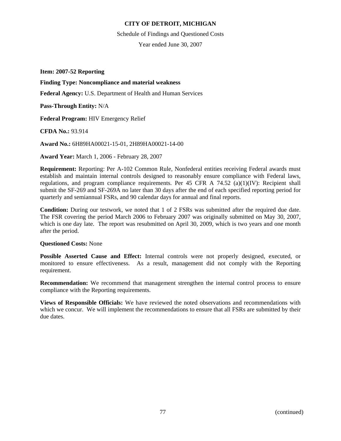Schedule of Findings and Questioned Costs

Year ended June 30, 2007

**Item: 2007-52 Reporting** 

**Finding Type: Noncompliance and material weakness** 

**Federal Agency:** U.S. Department of Health and Human Services

**Pass-Through Entity:** N/A

**Federal Program:** HIV Emergency Relief

**CFDA No.:** 93.914

**Award No.:** 6H89HA00021-15-01, 2H89HA00021-14-00

**Award Year:** March 1, 2006 - February 28, 2007

**Requirement:** Reporting: Per A-102 Common Rule, Nonfederal entities receiving Federal awards must establish and maintain internal controls designed to reasonably ensure compliance with Federal laws, regulations, and program compliance requirements. Per 45 CFR A 74.52 (a)(1)(IV): Recipient shall submit the SF-269 and SF-269A no later than 30 days after the end of each specified reporting period for quarterly and semiannual FSRs, and 90 calendar days for annual and final reports.

**Condition:** During our testwork, we noted that 1 of 2 FSRs was submitted after the required due date. The FSR covering the period March 2006 to February 2007 was originally submitted on May 30, 2007, which is one day late. The report was resubmitted on April 30, 2009, which is two years and one month after the period.

# **Questioned Costs:** None

**Possible Asserted Cause and Effect:** Internal controls were not properly designed, executed, or monitored to ensure effectiveness. As a result, management did not comply with the Reporting requirement.

**Recommendation:** We recommend that management strengthen the internal control process to ensure compliance with the Reporting requirements.

**Views of Responsible Officials:** We have reviewed the noted observations and recommendations with which we concur. We will implement the recommendations to ensure that all FSRs are submitted by their due dates.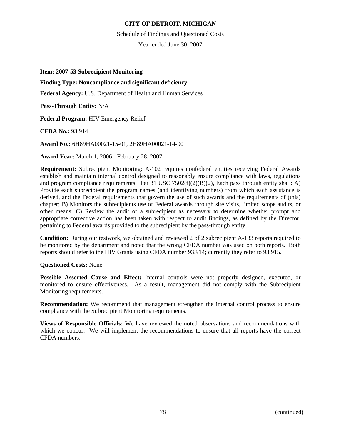#### Schedule of Findings and Questioned Costs

Year ended June 30, 2007

#### **Item: 2007-53 Subrecipient Monitoring**

# **Finding Type: Noncompliance and significant deficiency**

**Federal Agency:** U.S. Department of Health and Human Services

**Pass-Through Entity:** N/A

**Federal Program:** HIV Emergency Relief

**CFDA No.:** 93.914

**Award No.:** 6H89HA00021-15-01, 2H89HA00021-14-00

**Award Year:** March 1, 2006 - February 28, 2007

**Requirement:** Subrecipient Monitoring: A-102 requires nonfederal entities receiving Federal Awards establish and maintain internal control designed to reasonably ensure compliance with laws, regulations and program compliance requirements. Per 31 USC 7502(f)(2)(B)(2), Each pass through entity shall: A) Provide each subrecipient the program names (and identifying numbers) from which each assistance is derived, and the Federal requirements that govern the use of such awards and the requirements of (this) chapter; B) Monitors the subrecipients use of Federal awards through site visits, limited scope audits, or other means; C) Review the audit of a subrecipient as necessary to determine whether prompt and appropriate corrective action has been taken with respect to audit findings, as defined by the Director, pertaining to Federal awards provided to the subrecipient by the pass-through entity.

**Condition:** During our testwork, we obtained and reviewed 2 of 2 subrecipient A-133 reports required to be monitored by the department and noted that the wrong CFDA number was used on both reports. Both reports should refer to the HIV Grants using CFDA number 93.914; currently they refer to 93.915.

#### **Questioned Costs:** None

**Possible Asserted Cause and Effect:** Internal controls were not properly designed, executed, or monitored to ensure effectiveness. As a result, management did not comply with the Subrecipient Monitoring requirements.

**Recommendation:** We recommend that management strengthen the internal control process to ensure compliance with the Subrecipient Monitoring requirements.

**Views of Responsible Officials:** We have reviewed the noted observations and recommendations with which we concur. We will implement the recommendations to ensure that all reports have the correct CFDA numbers.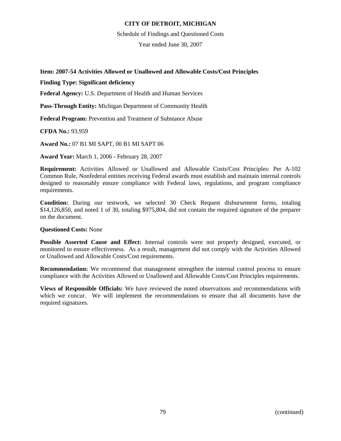Schedule of Findings and Questioned Costs

Year ended June 30, 2007

### **Item: 2007-54 Activities Allowed or Unallowed and Allowable Costs/Cost Principles**

#### **Finding Type: Significant deficiency**

**Federal Agency:** U.S. Department of Health and Human Services

**Pass-Through Entity:** Michigan Department of Community Health

**Federal Program:** Prevention and Treatment of Substance Abuse

**CFDA No.:** 93.959

**Award No.:** 07 B1 MI SAPT, 00 B1 MI SAPT 06

**Award Year:** March 1, 2006 - February 28, 2007

**Requirement:** Activities Allowed or Unallowed and Allowable Costs/Cost Principles: Per A-102 Common Rule, Nonfederal entities receiving Federal awards must establish and maintain internal controls designed to reasonably ensure compliance with Federal laws, regulations, and program compliance requirements.

**Condition:** During our testwork, we selected 30 Check Request disbursement forms, totaling \$14,126,850, and noted 1 of 30, totaling \$975,804, did not contain the required signature of the preparer on the document.

#### **Questioned Costs:** None

**Possible Asserted Cause and Effect:** Internal controls were not properly designed, executed, or monitored to ensure effectiveness. As a result, management did not comply with the Activities Allowed or Unallowed and Allowable Costs/Cost requirements.

**Recommendation:** We recommend that management strengthen the internal control process to ensure compliance with the Activities Allowed or Unallowed and Allowable Costs/Cost Principles requirements.

**Views of Responsible Officials:** We have reviewed the noted observations and recommendations with which we concur. We will implement the recommendations to ensure that all documents have the required signatures.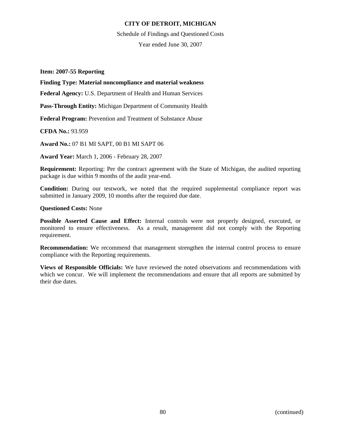Schedule of Findings and Questioned Costs

Year ended June 30, 2007

**Item: 2007-55 Reporting** 

### **Finding Type: Material noncompliance and material weakness**

**Federal Agency:** U.S. Department of Health and Human Services

**Pass-Through Entity:** Michigan Department of Community Health

**Federal Program:** Prevention and Treatment of Substance Abuse

**CFDA No.:** 93.959

**Award No.:** 07 B1 MI SAPT, 00 B1 MI SAPT 06

**Award Year:** March 1, 2006 - February 28, 2007

**Requirement:** Reporting: Per the contract agreement with the State of Michigan, the audited reporting package is due within 9 months of the audit year-end.

**Condition:** During our testwork, we noted that the required supplemental compliance report was submitted in January 2009, 10 months after the required due date.

#### **Questioned Costs:** None

**Possible Asserted Cause and Effect:** Internal controls were not properly designed, executed, or monitored to ensure effectiveness. As a result, management did not comply with the Reporting requirement.

**Recommendation:** We recommend that management strengthen the internal control process to ensure compliance with the Reporting requirements.

**Views of Responsible Officials:** We have reviewed the noted observations and recommendations with which we concur. We will implement the recommendations and ensure that all reports are submitted by their due dates.